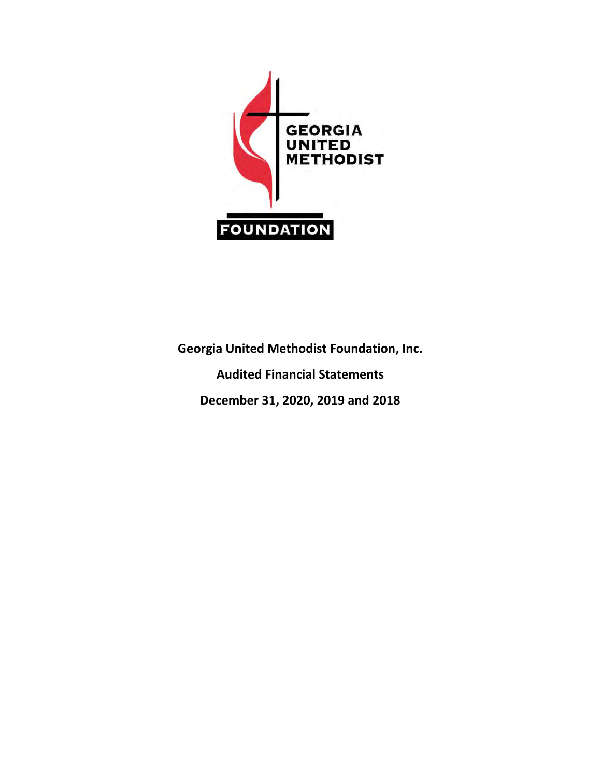

**Georgia United Methodist Foundation, Inc. Audited Financial Statements December 31, 2020, 2019 and 2018**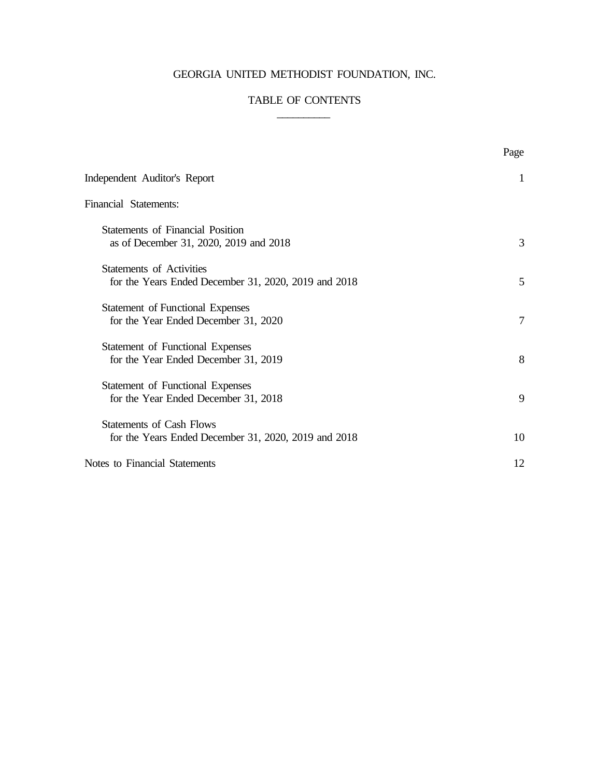# GEORGIA UNITED METHODIST FOUNDATION, INC.

# TABLE OF CONTENTS  $\overline{\phantom{a}}$

|                                                                                         | Page           |
|-----------------------------------------------------------------------------------------|----------------|
| Independent Auditor's Report                                                            | 1              |
| Financial Statements:                                                                   |                |
| <b>Statements of Financial Position</b><br>as of December 31, 2020, 2019 and 2018       | 3              |
| <b>Statements of Activities</b><br>for the Years Ended December 31, 2020, 2019 and 2018 | 5              |
| <b>Statement of Functional Expenses</b><br>for the Year Ended December 31, 2020         | $\overline{7}$ |
| <b>Statement of Functional Expenses</b><br>for the Year Ended December 31, 2019         | 8              |
| Statement of Functional Expenses<br>for the Year Ended December 31, 2018                | 9              |
| <b>Statements of Cash Flows</b><br>for the Years Ended December 31, 2020, 2019 and 2018 | 10             |
| Notes to Financial Statements                                                           | 12             |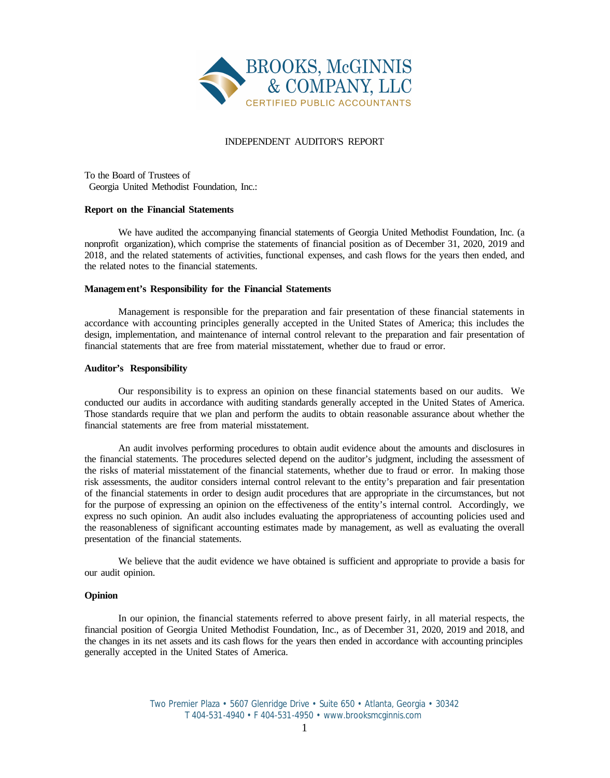

#### INDEPENDENT AUDITOR'S REPORT

To the Board of Trustees of Georgia United Methodist Foundation, Inc.:

#### **Report on the Financial Statements**

We have audited the accompanying financial statements of Georgia United Methodist Foundation, Inc. (a nonprofit organization), which comprise the statements of financial position as of December 31, 2020, 2019 and 2018, and the related statements of activities, functional expenses, and cash flows for the years then ended, and the related notes to the financial statements.

#### **Management's Responsibility for the Financial Statements**

Management is responsible for the preparation and fair presentation of these financial statements in accordance with accounting principles generally accepted in the United States of America; this includes the design, implementation, and maintenance of internal control relevant to the preparation and fair presentation of financial statements that are free from material misstatement, whether due to fraud or error.

#### **Auditor's Responsibility**

Our responsibility is to express an opinion on these financial statements based on our audits. We conducted our audits in accordance with auditing standards generally accepted in the United States of America. Those standards require that we plan and perform the audits to obtain reasonable assurance about whether the financial statements are free from material misstatement.

An audit involves performing procedures to obtain audit evidence about the amounts and disclosures in the financial statements. The procedures selected depend on the auditor's judgment, including the assessment of the risks of material misstatement of the financial statements, whether due to fraud or error. In making those risk assessments, the auditor considers internal control relevant to the entity's preparation and fair presentation of the financial statements in order to design audit procedures that are appropriate in the circumstances, but not for the purpose of expressing an opinion on the effectiveness of the entity's internal control. Accordingly, we express no such opinion. An audit also includes evaluating the appropriateness of accounting policies used and the reasonableness of significant accounting estimates made by management, as well as evaluating the overall presentation of the financial statements.

We believe that the audit evidence we have obtained is sufficient and appropriate to provide a basis for our audit opinion.

#### **Opinion**

In our opinion, the financial statements referred to above present fairly, in all material respects, the financial position of Georgia United Methodist Foundation, Inc., as of December 31, 2020, 2019 and 2018, and the changes in its net assets and its cash flows for the years then ended in accordance with accounting principles generally accepted in the United States of America.

> Two Premier Plaza • 5607 Glenridge Drive • Suite 650 • Atlanta, Georgia • 30342 T 404-531-4940 • F 404-531-4950 • www.brooksmcginnis.com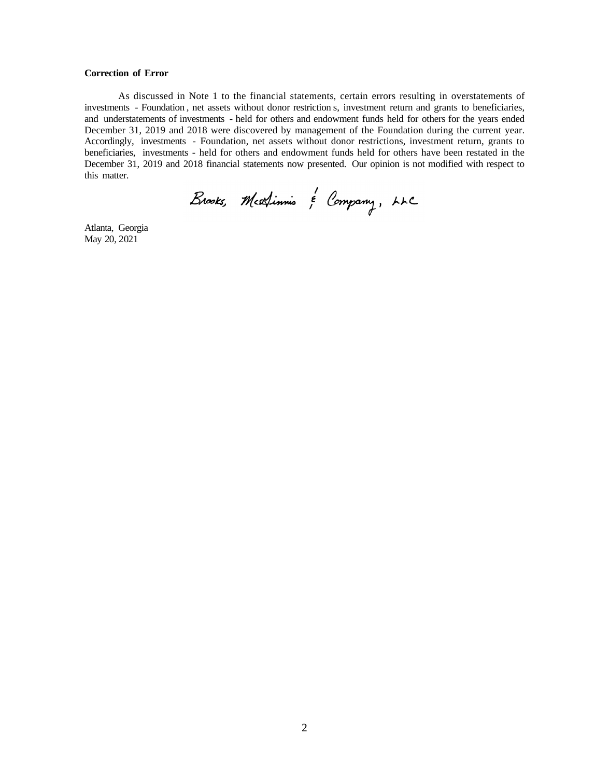#### **Correction of Error**

As discussed in Note 1 to the financial statements, certain errors resulting in overstatements of investments - Foundation , net assets without donor restriction s, investment return and grants to beneficiaries, and understatements of investments - held for others and endowment funds held for others for the years ended December 31, 2019 and 2018 were discovered by management of the Foundation during the current year. Accordingly, investments - Foundation, net assets without donor restrictions, investment return, grants to beneficiaries, investments - held for others and endowment funds held for others have been restated in the December 31, 2019 and 2018 financial statements now presented. Our opinion is not modified with respect to this matter.

Brooks, Medinnis & Company, LLC

Atlanta, Georgia May 20, 2021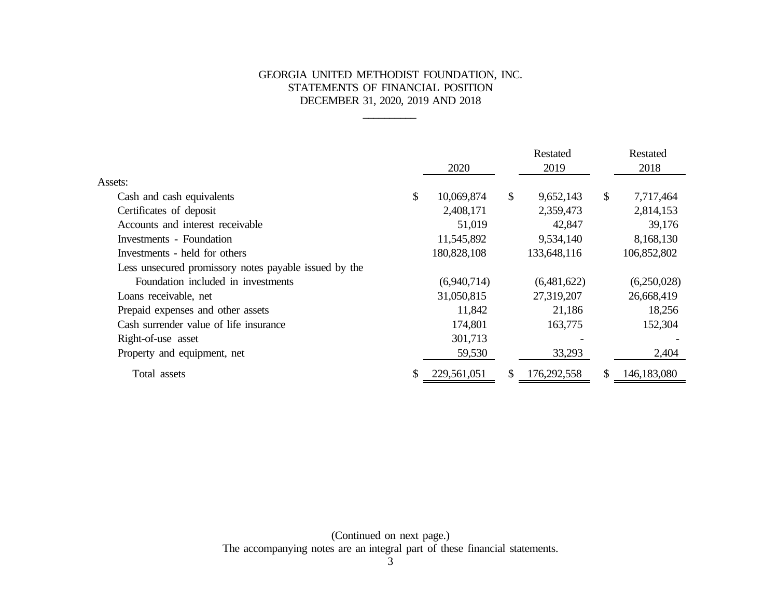### GEORGIA UNITED METHODIST FOUNDATION, INC. STATEMENTS OF FINANCIAL POSITION DECEMBER 31, 2020, 2019 AND 2018

\_\_\_\_\_\_\_\_\_\_

|                                                       |               | 2020        |                           | Restated<br>2019 |              | Restated<br>2018 |
|-------------------------------------------------------|---------------|-------------|---------------------------|------------------|--------------|------------------|
| Assets:                                               |               |             |                           |                  |              |                  |
| Cash and cash equivalents                             | $\mathcal{S}$ | 10,069,874  | $\boldsymbol{\mathsf{S}}$ | 9,652,143        | $\mathbb{S}$ | 7,717,464        |
| Certificates of deposit                               |               | 2,408,171   |                           | 2,359,473        |              | 2,814,153        |
| Accounts and interest receivable                      |               | 51,019      |                           | 42,847           |              | 39,176           |
| Investments - Foundation                              |               | 11,545,892  |                           | 9,534,140        |              | 8,168,130        |
| Investments - held for others                         |               | 180,828,108 |                           | 133,648,116      |              | 106,852,802      |
| Less unsecured promissory notes payable issued by the |               |             |                           |                  |              |                  |
| Foundation included in investments                    |               | (6,940,714) |                           | (6,481,622)      |              | (6,250,028)      |
| Loans receivable, net                                 |               | 31,050,815  |                           | 27,319,207       |              | 26,668,419       |
| Prepaid expenses and other assets                     |               | 11,842      |                           | 21,186           |              | 18,256           |
| Cash surrender value of life insurance                |               | 174,801     |                           | 163,775          |              | 152,304          |
| Right-of-use asset                                    |               | 301,713     |                           |                  |              |                  |
| Property and equipment, net                           |               | 59,530      |                           | 33,293           |              | 2,404            |
| Total assets                                          | \$            | 229,561,051 | \$                        | 176,292,558      | \$           | 146,183,080      |

(Continued on next page.) The accompanying notes are an integral part of these financial statements.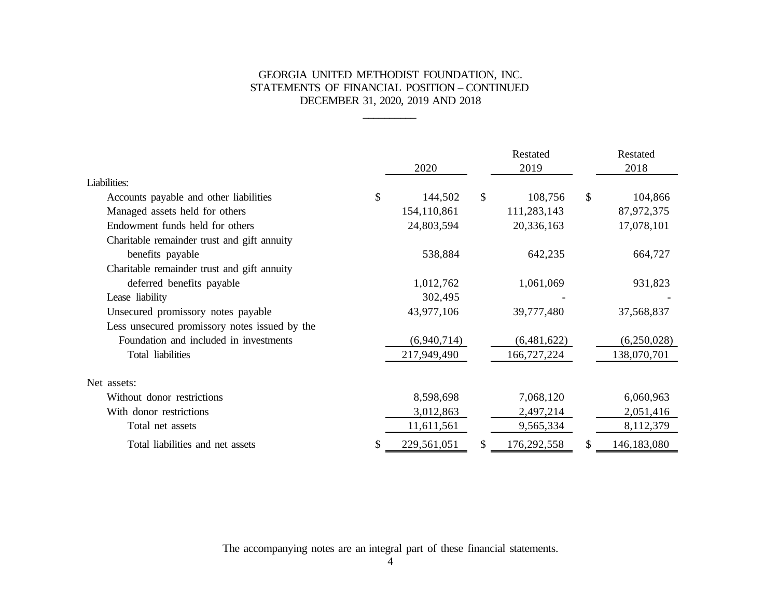### GEORGIA UNITED METHODIST FOUNDATION, INC. STATEMENTS OF FINANCIAL POSITION – CONTINUED DECEMBER 31, 2020, 2019 AND 2018

\_\_\_\_\_\_\_\_\_\_

|                                               | 2020          | Restated<br>2019  | Restated<br>2018  |
|-----------------------------------------------|---------------|-------------------|-------------------|
| Liabilities:                                  |               |                   |                   |
| Accounts payable and other liabilities        | \$<br>144,502 | \$<br>108,756     | \$<br>104,866     |
| Managed assets held for others                | 154,110,861   | 111,283,143       | 87,972,375        |
| Endowment funds held for others               | 24,803,594    | 20,336,163        | 17,078,101        |
| Charitable remainder trust and gift annuity   |               |                   |                   |
| benefits payable                              | 538,884       | 642,235           | 664,727           |
| Charitable remainder trust and gift annuity   |               |                   |                   |
| deferred benefits payable                     | 1,012,762     | 1,061,069         | 931,823           |
| Lease liability                               | 302,495       |                   |                   |
| Unsecured promissory notes payable            | 43,977,106    | 39,777,480        | 37,568,837        |
| Less unsecured promissory notes issued by the |               |                   |                   |
| Foundation and included in investments        | (6,940,714)   | (6,481,622)       | (6,250,028)       |
| Total liabilities                             | 217,949,490   | 166,727,224       | 138,070,701       |
| Net assets:                                   |               |                   |                   |
| Without donor restrictions                    | 8,598,698     | 7,068,120         | 6,060,963         |
| With donor restrictions                       | 3,012,863     | 2,497,214         | 2,051,416         |
| Total net assets                              | 11,611,561    | 9,565,334         | 8,112,379         |
| Total liabilities and net assets              | 229,561,051   | \$<br>176,292,558 | \$<br>146,183,080 |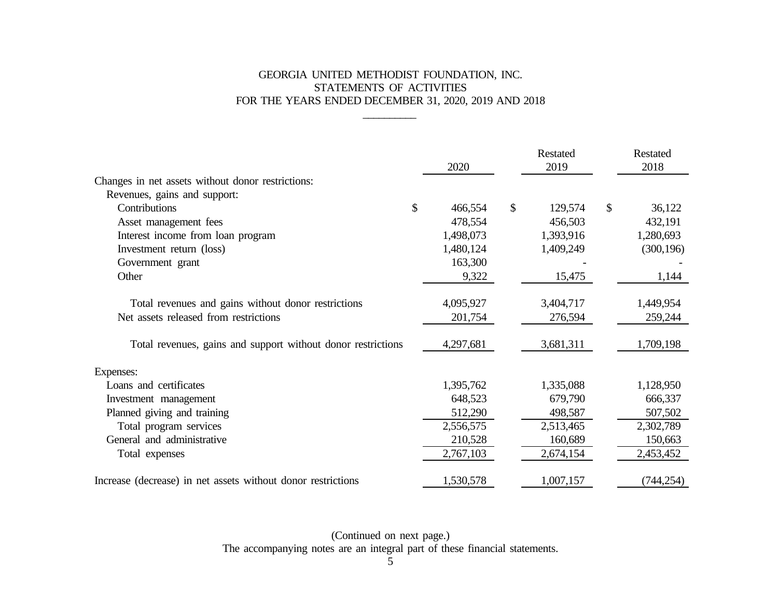# GEORGIA UNITED METHODIST FOUNDATION, INC. STATEMENTS OF ACTIVITIES FOR THE YEARS ENDED DECEMBER 31, 2020, 2019 AND 2018

\_\_\_\_\_\_\_\_\_\_

|                                                              | 2020          |               | Restated<br>2019 |              | Restated<br>2018 |
|--------------------------------------------------------------|---------------|---------------|------------------|--------------|------------------|
| Changes in net assets without donor restrictions:            |               |               |                  |              |                  |
| Revenues, gains and support:                                 |               |               |                  |              |                  |
| Contributions                                                | \$<br>466,554 | $\mathcal{S}$ | 129,574          | $\mathbb{S}$ | 36,122           |
| Asset management fees                                        | 478,554       |               | 456,503          |              | 432,191          |
| Interest income from loan program                            | 1,498,073     |               | 1,393,916        |              | 1,280,693        |
| Investment return (loss)                                     | 1,480,124     |               | 1,409,249        |              | (300, 196)       |
| Government grant                                             | 163,300       |               |                  |              |                  |
| Other                                                        | 9,322         |               | 15,475           |              | 1,144            |
|                                                              |               |               |                  |              |                  |
| Total revenues and gains without donor restrictions          | 4,095,927     |               | 3,404,717        |              | 1,449,954        |
| Net assets released from restrictions                        | 201,754       |               | 276,594          |              | 259,244          |
| Total revenues, gains and support without donor restrictions | 4,297,681     |               | 3,681,311        |              | 1,709,198        |
| Expenses:                                                    |               |               |                  |              |                  |
| Loans and certificates                                       | 1,395,762     |               | 1,335,088        |              | 1,128,950        |
| Investment management                                        | 648,523       |               | 679,790          |              | 666,337          |
| Planned giving and training                                  | 512,290       |               | 498,587          |              | 507,502          |
| Total program services                                       | 2,556,575     |               | 2,513,465        |              | 2,302,789        |
| General and administrative                                   | 210,528       |               | 160,689          |              | 150,663          |
| Total expenses                                               | 2,767,103     |               | 2,674,154        |              | 2,453,452        |
| Increase (decrease) in net assets without donor restrictions | 1,530,578     |               | 1,007,157        |              | (744, 254)       |

(Continued on next page.) The accompanying notes are an integral part of these financial statements.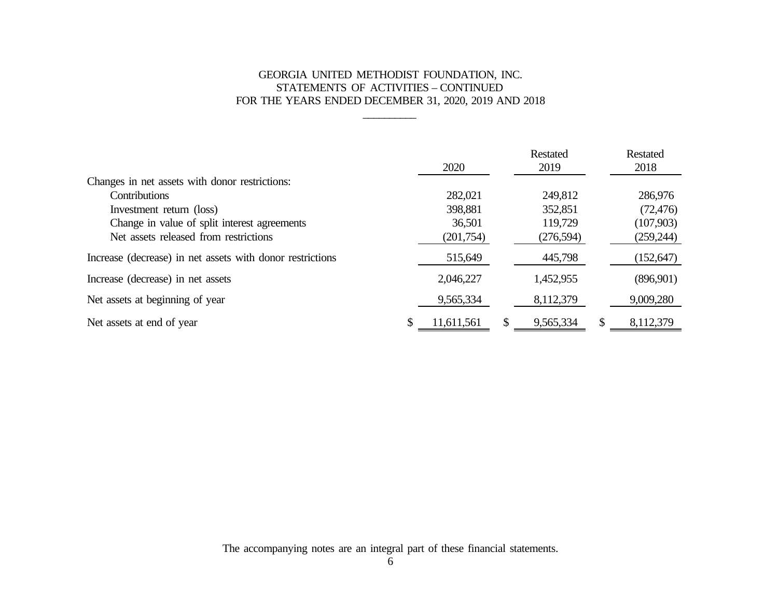# GEORGIA UNITED METHODIST FOUNDATION, INC. STATEMENTS OF ACTIVITIES – CONTINUED FOR THE YEARS ENDED DECEMBER 31, 2020, 2019 AND 2018

\_\_\_\_\_\_\_\_\_\_

|                                                           | 2020             | Restated<br>2019 | <b>Restated</b><br>2018 |
|-----------------------------------------------------------|------------------|------------------|-------------------------|
| Changes in net assets with donor restrictions:            |                  |                  |                         |
| <b>Contributions</b>                                      | 282,021          | 249,812          | 286,976                 |
| Investment return (loss)                                  | 398,881          | 352,851          | (72, 476)               |
| Change in value of split interest agreements              | 36,501           | 119,729          | (107,903)               |
| Net assets released from restrictions                     | (201,754)        | (276,594)        | (259, 244)              |
| Increase (decrease) in net assets with donor restrictions | 515,649          | 445,798          | (152, 647)              |
| Increase (decrease) in net assets                         | 2,046,227        | 1,452,955        | (896,901)               |
| Net assets at beginning of year                           | 9,565,334        | 8,112,379        | 9,009,280               |
| Net assets at end of year                                 | \$<br>11,611,561 | \$<br>9,565,334  | \$<br>8,112,379         |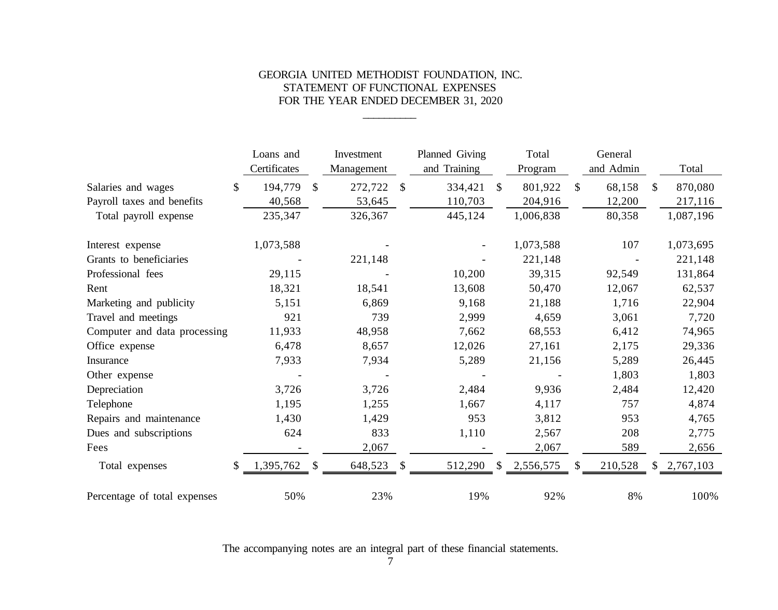### GEORGIA UNITED METHODIST FOUNDATION, INC. STATEMENT OF FUNCTIONAL EXPENSES FOR THE YEAR ENDED DECEMBER 31, 2020

\_\_\_\_\_\_\_\_\_\_

|                              | Loans and               |              | Investment |               | Planned Giving |              | Total     |              | General   |               |
|------------------------------|-------------------------|--------------|------------|---------------|----------------|--------------|-----------|--------------|-----------|---------------|
|                              | Certificates            |              | Management |               | and Training   |              | Program   |              | and Admin | Total         |
| Salaries and wages           | 194,779<br>$\mathbb{S}$ | $\mathbb{S}$ | 272,722    | $\mathbb{S}$  | 334,421        | $\mathbb{S}$ | 801,922   | $\mathbb{S}$ | 68,158    | \$<br>870,080 |
| Payroll taxes and benefits   | 40,568                  |              | 53,645     |               | 110,703        |              | 204,916   |              | 12,200    | 217,116       |
| Total payroll expense        | 235,347                 |              | 326,367    |               | 445,124        |              | 1,006,838 |              | 80,358    | 1,087,196     |
| Interest expense             | 1,073,588               |              |            |               |                |              | 1,073,588 |              | 107       | 1,073,695     |
| Grants to beneficiaries      |                         |              | 221,148    |               |                |              | 221,148   |              |           | 221,148       |
| Professional fees            | 29,115                  |              |            |               | 10,200         |              | 39,315    |              | 92,549    | 131,864       |
| Rent                         | 18,321                  |              | 18,541     |               | 13,608         |              | 50,470    |              | 12,067    | 62,537        |
| Marketing and publicity      | 5,151                   |              | 6,869      |               | 9,168          |              | 21,188    |              | 1,716     | 22,904        |
| Travel and meetings          | 921                     |              | 739        |               | 2,999          |              | 4,659     |              | 3,061     | 7,720         |
| Computer and data processing | 11,933                  |              | 48,958     |               | 7,662          |              | 68,553    |              | 6,412     | 74,965        |
| Office expense               | 6,478                   |              | 8,657      |               | 12,026         |              | 27,161    |              | 2,175     | 29,336        |
| Insurance                    | 7,933                   |              | 7,934      |               | 5,289          |              | 21,156    |              | 5,289     | 26,445        |
| Other expense                |                         |              |            |               |                |              |           |              | 1,803     | 1,803         |
| Depreciation                 | 3,726                   |              | 3,726      |               | 2,484          |              | 9,936     |              | 2,484     | 12,420        |
| Telephone                    | 1,195                   |              | 1,255      |               | 1,667          |              | 4,117     |              | 757       | 4,874         |
| Repairs and maintenance      | 1,430                   |              | 1,429      |               | 953            |              | 3,812     |              | 953       | 4,765         |
| Dues and subscriptions       | 624                     |              | 833        |               | 1,110          |              | 2,567     |              | 208       | 2,775         |
| Fees                         |                         |              | 2,067      |               |                |              | 2,067     |              | 589       | 2,656         |
| Total expenses               | 1,395,762               | -S           | 648,523    | <sup>\$</sup> | 512,290        | <sup>S</sup> | 2,556,575 | \$.          | 210,528   | \$2,767,103   |
| Percentage of total expenses | 50%                     |              | 23%        |               | 19%            |              | 92%       |              | 8%        | 100%          |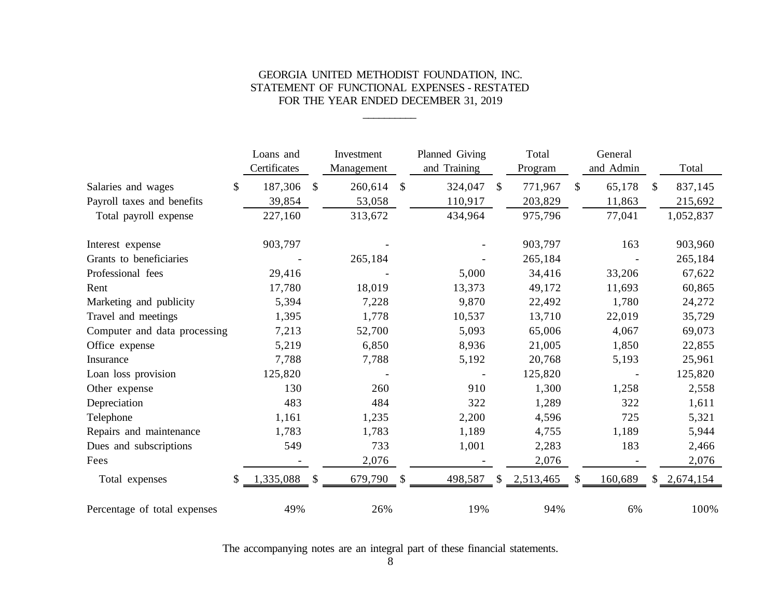### GEORGIA UNITED METHODIST FOUNDATION, INC. STATEMENT OF FUNCTIONAL EXPENSES - RESTATED FOR THE YEAR ENDED DECEMBER 31, 2019

\_\_\_\_\_\_\_\_\_\_

|                              |              | Loans and    |               | Investment |               | Planned Giving |              | Total     |              | General   |               |
|------------------------------|--------------|--------------|---------------|------------|---------------|----------------|--------------|-----------|--------------|-----------|---------------|
|                              |              | Certificates |               | Management |               | and Training   |              | Program   |              | and Admin | Total         |
| Salaries and wages           | $\mathbb{S}$ | 187,306      | \$            | 260,614    | \$            | 324,047        | $\mathbb{S}$ | 771,967   | $\mathbb{S}$ | 65,178    | \$<br>837,145 |
| Payroll taxes and benefits   |              | 39,854       |               | 53,058     |               | 110,917        |              | 203,829   |              | 11,863    | 215,692       |
| Total payroll expense        |              | 227,160      |               | 313,672    |               | 434,964        |              | 975,796   |              | 77,041    | 1,052,837     |
| Interest expense             |              | 903,797      |               |            |               |                |              | 903,797   |              | 163       | 903,960       |
| Grants to beneficiaries      |              |              |               | 265,184    |               |                |              | 265,184   |              |           | 265,184       |
| Professional fees            |              | 29,416       |               |            |               | 5,000          |              | 34,416    |              | 33,206    | 67,622        |
| Rent                         |              | 17,780       |               | 18,019     |               | 13,373         |              | 49,172    |              | 11,693    | 60,865        |
| Marketing and publicity      |              | 5,394        |               | 7,228      |               | 9,870          |              | 22,492    |              | 1,780     | 24,272        |
| Travel and meetings          |              | 1,395        |               | 1,778      |               | 10,537         |              | 13,710    |              | 22,019    | 35,729        |
| Computer and data processing |              | 7,213        |               | 52,700     |               | 5,093          |              | 65,006    |              | 4,067     | 69,073        |
| Office expense               |              | 5,219        |               | 6,850      |               | 8,936          |              | 21,005    |              | 1,850     | 22,855        |
| Insurance                    |              | 7,788        |               | 7,788      |               | 5,192          |              | 20,768    |              | 5,193     | 25,961        |
| Loan loss provision          |              | 125,820      |               |            |               |                |              | 125,820   |              |           | 125,820       |
| Other expense                |              | 130          |               | 260        |               | 910            |              | 1,300     |              | 1,258     | 2,558         |
| Depreciation                 |              | 483          |               | 484        |               | 322            |              | 1,289     |              | 322       | 1,611         |
| Telephone                    |              | 1,161        |               | 1,235      |               | 2,200          |              | 4,596     |              | 725       | 5,321         |
| Repairs and maintenance      |              | 1,783        |               | 1,783      |               | 1,189          |              | 4,755     |              | 1,189     | 5,944         |
| Dues and subscriptions       |              | 549          |               | 733        |               | 1,001          |              | 2,283     |              | 183       | 2,466         |
| Fees                         |              |              |               | 2,076      |               |                |              | 2,076     |              |           | 2,076         |
| Total expenses               |              | 1,335,088    | <sup>\$</sup> | 679,790    | $\mathcal{S}$ | 498,587        | $\mathbb{S}$ | 2,513,465 | \$           | 160,689   | \$2,674,154   |
| Percentage of total expenses |              | 49%          |               | 26%        |               | 19%            |              | 94%       |              | 6%        | 100%          |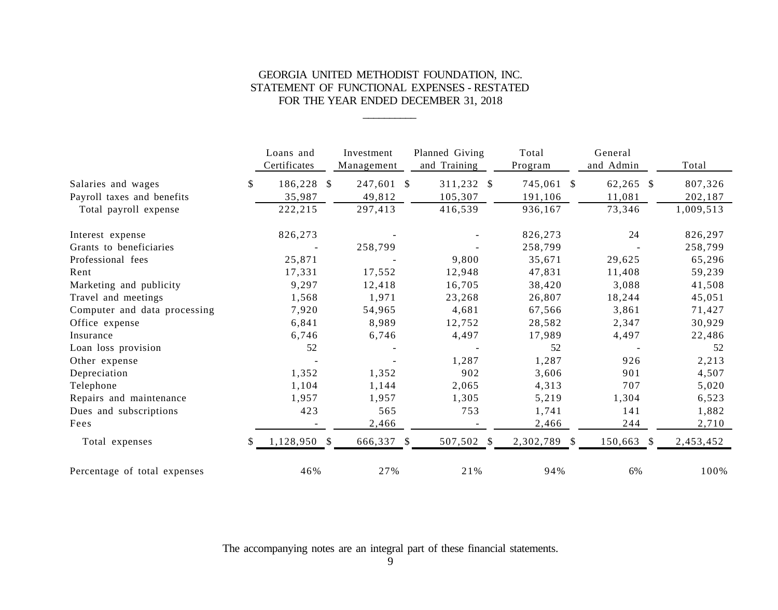### GEORGIA UNITED METHODIST FOUNDATION, INC. STATEMENT OF FUNCTIONAL EXPENSES - RESTATED FOR THE YEAR ENDED DECEMBER 31, 2018

\_\_\_\_\_\_\_\_\_\_

|                              |              | Loans and<br>Certificates | Investment<br>Management   | Planned Giving<br>and Training | Total<br>Program | General<br>and Admin | Total     |
|------------------------------|--------------|---------------------------|----------------------------|--------------------------------|------------------|----------------------|-----------|
| Salaries and wages           | \$           | 186,228                   | 247,601 \$<br><sup>S</sup> | 311,232 \$                     | 745,061 \$       | 62,265 \$            | 807,326   |
| Payroll taxes and benefits   |              | 35,987                    | 49,812                     | 105,307                        | 191,106          | 11,081               | 202,187   |
| Total payroll expense        |              | 222,215                   | 297,413                    | 416,539                        | 936,167          | 73,346               | 1,009,513 |
| Interest expense             |              | 826,273                   |                            |                                | 826,273          | 24                   | 826,297   |
| Grants to beneficiaries      |              |                           | 258,799                    |                                | 258,799          |                      | 258,799   |
| Professional fees            |              | 25,871                    |                            | 9,800                          | 35,671           | 29,625               | 65,296    |
| Rent                         |              | 17,331                    | 17,552                     | 12,948                         | 47,831           | 11,408               | 59,239    |
| Marketing and publicity      |              | 9,297                     | 12,418                     | 16,705                         | 38,420           | 3,088                | 41,508    |
| Travel and meetings          |              | 1,568                     | 1,971                      | 23,268                         | 26,807           | 18,244               | 45,051    |
| Computer and data processing |              | 7,920                     | 54,965                     | 4,681                          | 67,566           | 3,861                | 71,427    |
| Office expense               |              | 6,841                     | 8,989                      | 12,752                         | 28,582           | 2,347                | 30,929    |
| Insurance                    |              | 6,746                     | 6,746                      | 4,497                          | 17,989           | 4,497                | 22,486    |
| Loan loss provision          |              | 52                        |                            |                                | 52               |                      | 52        |
| Other expense                |              |                           |                            | 1,287                          | 1,287            | 926                  | 2,213     |
| Depreciation                 |              | 1,352                     | 1,352                      | 902                            | 3,606            | 901                  | 4,507     |
| Telephone                    |              | 1,104                     | 1,144                      | 2,065                          | 4,313            | 707                  | 5,020     |
| Repairs and maintenance      |              | 1,957                     | 1,957                      | 1,305                          | 5,219            | 1,304                | 6,523     |
| Dues and subscriptions       |              | 423                       | 565                        | 753                            | 1,741            | 141                  | 1,882     |
| Fees                         |              |                           | 2,466                      |                                | 2,466            | 244                  | 2,710     |
| Total expenses               | <sup>S</sup> | 1,128,950 \$              | 666,337 \$                 | 507,502 \$                     | 2,302,789 \$     | 150,663 \$           | 2,453,452 |
| Percentage of total expenses |              | 46%                       | 27%                        | 21%                            | 94%              | 6%                   | 100%      |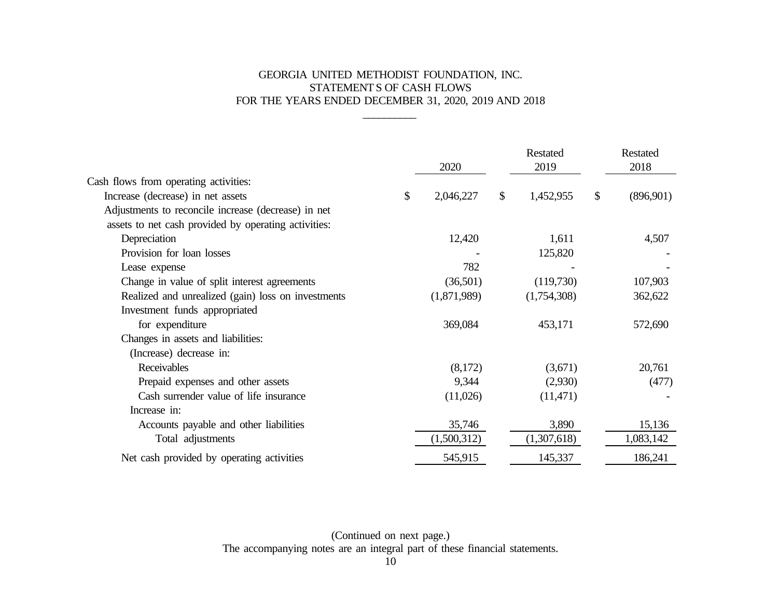# GEORGIA UNITED METHODIST FOUNDATION, INC. STATEMENTS OF CASH FLOWS FOR THE YEARS ENDED DECEMBER 31, 2020, 2019 AND 2018

\_\_\_\_\_\_\_\_\_\_

|                                                      | 2020            |    | Restated<br>2019 |    | Restated<br>2018 |
|------------------------------------------------------|-----------------|----|------------------|----|------------------|
| Cash flows from operating activities:                |                 |    |                  |    |                  |
| Increase (decrease) in net assets                    | \$<br>2,046,227 | \$ | 1,452,955        | \$ | (896,901)        |
| Adjustments to reconcile increase (decrease) in net  |                 |    |                  |    |                  |
| assets to net cash provided by operating activities: |                 |    |                  |    |                  |
| Depreciation                                         | 12,420          |    | 1,611            |    | 4,507            |
| Provision for loan losses                            |                 |    | 125,820          |    |                  |
| Lease expense                                        | 782             |    |                  |    |                  |
| Change in value of split interest agreements         | (36,501)        |    | (119,730)        |    | 107,903          |
| Realized and unrealized (gain) loss on investments   | (1,871,989)     |    | (1,754,308)      |    | 362,622          |
| Investment funds appropriated                        |                 |    |                  |    |                  |
| for expenditure                                      | 369,084         |    | 453,171          |    | 572,690          |
| Changes in assets and liabilities:                   |                 |    |                  |    |                  |
| (Increase) decrease in:                              |                 |    |                  |    |                  |
| Receivables                                          | (8,172)         |    | (3,671)          |    | 20,761           |
| Prepaid expenses and other assets                    | 9,344           |    | (2,930)          |    | (477)            |
| Cash surrender value of life insurance               | (11,026)        |    | (11,471)         |    |                  |
| Increase in:                                         |                 |    |                  |    |                  |
| Accounts payable and other liabilities               | 35,746          |    | 3,890            |    | 15,136           |
| Total adjustments                                    | (1,500,312)     |    | (1,307,618)      |    | 1,083,142        |
| Net cash provided by operating activities            | 545,915         |    | 145,337          |    | 186,241          |

(Continued on next page.) The accompanying notes are an integral part of these financial statements.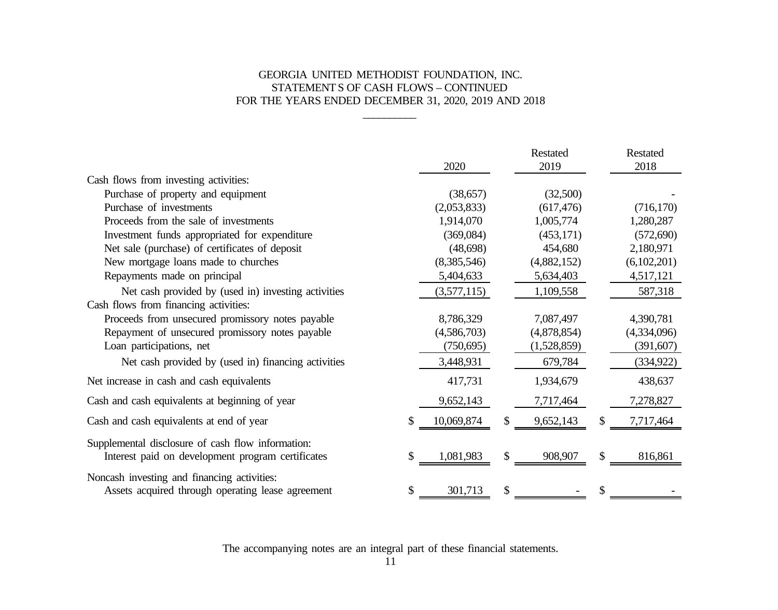# GEORGIA UNITED METHODIST FOUNDATION, INC. STATEMENTS OF CASH FLOWS – CONTINUED FOR THE YEARS ENDED DECEMBER 31, 2020, 2019 AND 2018

\_\_\_\_\_\_\_\_\_\_

|                                                                                                        |    | 2020        | Restated<br>2019 | Restated<br>2018 |
|--------------------------------------------------------------------------------------------------------|----|-------------|------------------|------------------|
| Cash flows from investing activities:                                                                  |    |             |                  |                  |
| Purchase of property and equipment                                                                     |    | (38, 657)   | (32,500)         |                  |
| Purchase of investments                                                                                |    | (2,053,833) | (617, 476)       | (716, 170)       |
| Proceeds from the sale of investments                                                                  |    | 1,914,070   | 1,005,774        | 1,280,287        |
| Investment funds appropriated for expenditure                                                          |    | (369,084)   | (453, 171)       | (572,690)        |
| Net sale (purchase) of certificates of deposit                                                         |    | (48,698)    | 454,680          | 2,180,971        |
| New mortgage loans made to churches                                                                    |    | (8,385,546) | (4,882,152)      | (6,102,201)      |
| Repayments made on principal                                                                           |    | 5,404,633   | 5,634,403        | 4,517,121        |
| Net cash provided by (used in) investing activities                                                    |    | (3,577,115) | 1,109,558        | 587,318          |
| Cash flows from financing activities:                                                                  |    |             |                  |                  |
| Proceeds from unsecured promissory notes payable                                                       |    | 8,786,329   | 7,087,497        | 4,390,781        |
| Repayment of unsecured promissory notes payable                                                        |    | (4,586,703) | (4,878,854)      | (4,334,096)      |
| Loan participations, net                                                                               |    | (750,695)   | (1,528,859)      | (391, 607)       |
| Net cash provided by (used in) financing activities                                                    |    | 3,448,931   | 679,784          | (334, 922)       |
| Net increase in cash and cash equivalents                                                              |    | 417,731     | 1,934,679        | 438,637          |
| Cash and cash equivalents at beginning of year                                                         |    | 9,652,143   | 7,717,464        | 7,278,827        |
| Cash and cash equivalents at end of year                                                               |    | 10,069,874  | \$<br>9,652,143  | \$<br>7,717,464  |
| Supplemental disclosure of cash flow information:<br>Interest paid on development program certificates | S  | 1,081,983   | \$<br>908,907    | \$<br>816,861    |
| Noncash investing and financing activities:<br>Assets acquired through operating lease agreement       | \$ | 301,713     | \$               | \$               |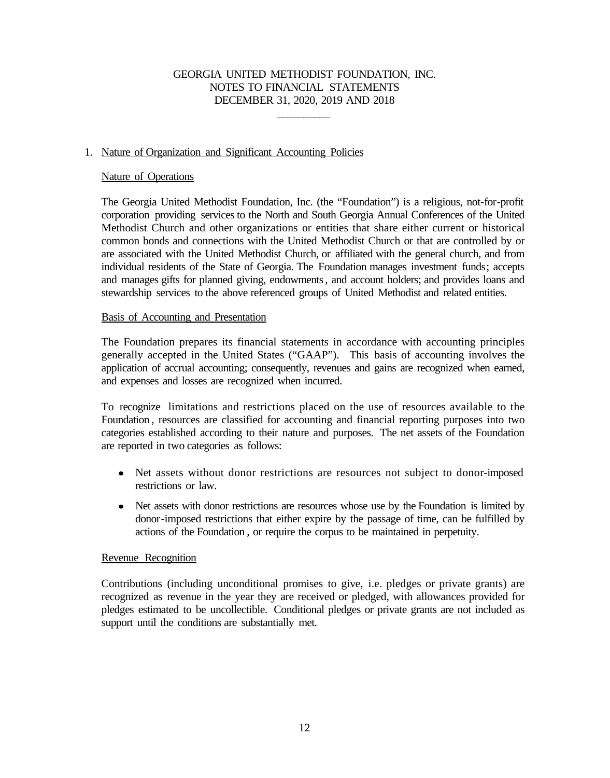\_\_\_\_\_\_\_\_\_\_

### 1. Nature of Organization and Significant Accounting Policies

### Nature of Operations

The Georgia United Methodist Foundation, Inc. (the "Foundation") is a religious, not-for-profit corporation providing services to the North and South Georgia Annual Conferences of the United Methodist Church and other organizations or entities that share either current or historical common bonds and connections with the United Methodist Church or that are controlled by or are associated with the United Methodist Church, or affiliated with the general church, and from individual residents of the State of Georgia. The Foundation manages investment funds; accepts and manages gifts for planned giving, endowments, and account holders; and provides loans and stewardship services to the above referenced groups of United Methodist and related entities.

### Basis of Accounting and Presentation

The Foundation prepares its financial statements in accordance with accounting principles generally accepted in the United States ("GAAP"). This basis of accounting involves the application of accrual accounting; consequently, revenues and gains are recognized when earned, and expenses and losses are recognized when incurred.

 To recognize limitations and restrictions placed on the use of resources available to the Foundation , resources are classified for accounting and financial reporting purposes into two categories established according to their nature and purposes. The net assets of the Foundation are reported in two categories as follows:

- Net assets without donor restrictions are resources not subject to donor-imposed restrictions or law.
- Net assets with donor restrictions are resources whose use by the Foundation is limited by  $\bullet$ donor-imposed restrictions that either expire by the passage of time, can be fulfilled by actions of the Foundation , or require the corpus to be maintained in perpetuity.

#### Revenue Recognition

Contributions (including unconditional promises to give, i.e. pledges or private grants) are recognized as revenue in the year they are received or pledged, with allowances provided for pledges estimated to be uncollectible. Conditional pledges or private grants are not included as support until the conditions are substantially met.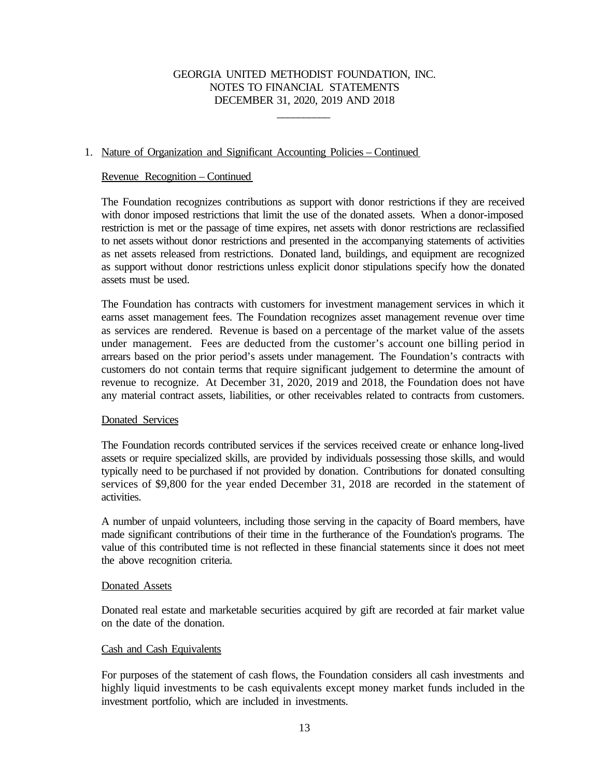\_\_\_\_\_\_\_\_\_\_

### 1. Nature of Organization and Significant Accounting Policies – Continued

#### Revenue Recognition – Continued

The Foundation recognizes contributions as support with donor restrictions if they are received with donor imposed restrictions that limit the use of the donated assets. When a donor-imposed restriction is met or the passage of time expires, net assets with donor restrictions are reclassified to net assets without donor restrictions and presented in the accompanying statements of activities as net assets released from restrictions. Donated land, buildings, and equipment are recognized as support without donor restrictions unless explicit donor stipulations specify how the donated assets must be used.

The Foundation has contracts with customers for investment management services in which it earns asset management fees. The Foundation recognizes asset management revenue over time as services are rendered. Revenue is based on a percentage of the market value of the assets under management. Fees are deducted from the customer's account one billing period in arrears based on the prior period's assets under management. The Foundation's contracts with customers do not contain terms that require significant judgement to determine the amount of revenue to recognize. At December 31, 2020, 2019 and 2018, the Foundation does not have any material contract assets, liabilities, or other receivables related to contracts from customers.

#### Donated Services

The Foundation records contributed services if the services received create or enhance long-lived assets or require specialized skills, are provided by individuals possessing those skills, and would typically need to be purchased if not provided by donation. Contributions for donated consulting services of \$9,800 for the year ended December 31, 2018 are recorded in the statement of activities.

A number of unpaid volunteers, including those serving in the capacity of Board members, have made significant contributions of their time in the furtherance of the Foundation's programs. The value of this contributed time is not reflected in these financial statements since it does not meet the above recognition criteria.

#### Donated Assets

Donated real estate and marketable securities acquired by gift are recorded at fair market value on the date of the donation.

#### Cash and Cash Equivalents

For purposes of the statement of cash flows, the Foundation considers all cash investments and highly liquid investments to be cash equivalents except money market funds included in the investment portfolio, which are included in investments.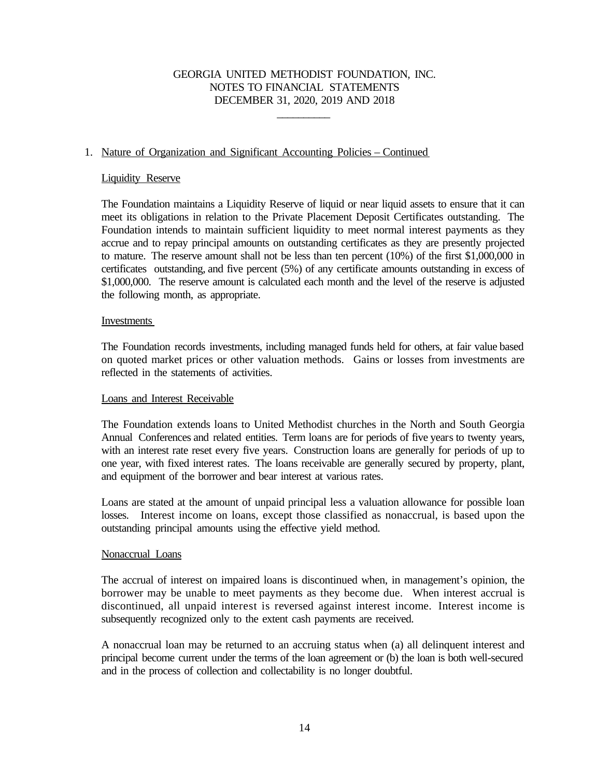\_\_\_\_\_\_\_\_\_\_

### 1. Nature of Organization and Significant Accounting Policies – Continued

#### Liquidity Reserve

The Foundation maintains a Liquidity Reserve of liquid or near liquid assets to ensure that it can meet its obligations in relation to the Private Placement Deposit Certificates outstanding. The Foundation intends to maintain sufficient liquidity to meet normal interest payments as they accrue and to repay principal amounts on outstanding certificates as they are presently projected to mature. The reserve amount shall not be less than ten percent (10%) of the first \$1,000,000 in certificates outstanding, and five percent (5%) of any certificate amounts outstanding in excess of \$1,000,000. The reserve amount is calculated each month and the level of the reserve is adjusted the following month, as appropriate.

#### Investments

The Foundation records investments, including managed funds held for others, at fair value based on quoted market prices or other valuation methods. Gains or losses from investments are reflected in the statements of activities.

#### Loans and Interest Receivable

The Foundation extends loans to United Methodist churches in the North and South Georgia Annual Conferences and related entities. Term loans are for periods of five years to twenty years, with an interest rate reset every five years. Construction loans are generally for periods of up to one year, with fixed interest rates. The loans receivable are generally secured by property, plant, and equipment of the borrower and bear interest at various rates.

Loans are stated at the amount of unpaid principal less a valuation allowance for possible loan losses. Interest income on loans, except those classified as nonaccrual, is based upon the outstanding principal amounts using the effective yield method.

#### Nonaccrual Loans

The accrual of interest on impaired loans is discontinued when, in management's opinion, the borrower may be unable to meet payments as they become due. When interest accrual is discontinued, all unpaid interest is reversed against interest income. Interest income is subsequently recognized only to the extent cash payments are received.

A nonaccrual loan may be returned to an accruing status when (a) all delinquent interest and principal become current under the terms of the loan agreement or (b) the loan is both well-secured and in the process of collection and collectability is no longer doubtful.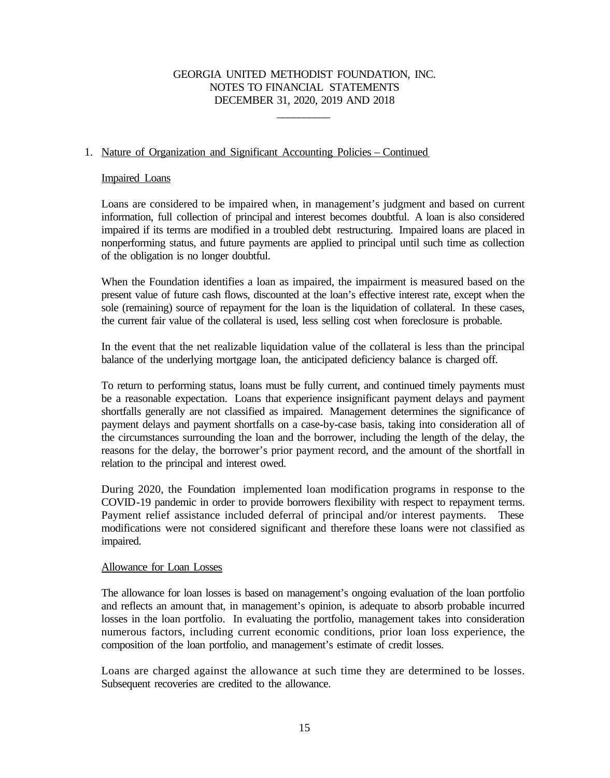\_\_\_\_\_\_\_\_\_\_

### 1. Nature of Organization and Significant Accounting Policies – Continued

#### Impaired Loans

Loans are considered to be impaired when, in management's judgment and based on current information, full collection of principal and interest becomes doubtful. A loan is also considered impaired if its terms are modified in a troubled debt restructuring. Impaired loans are placed in nonperforming status, and future payments are applied to principal until such time as collection of the obligation is no longer doubtful.

When the Foundation identifies a loan as impaired, the impairment is measured based on the present value of future cash flows, discounted at the loan's effective interest rate, except when the sole (remaining) source of repayment for the loan is the liquidation of collateral. In these cases, the current fair value of the collateral is used, less selling cost when foreclosure is probable.

In the event that the net realizable liquidation value of the collateral is less than the principal balance of the underlying mortgage loan, the anticipated deficiency balance is charged off.

To return to performing status, loans must be fully current, and continued timely payments must be a reasonable expectation. Loans that experience insignificant payment delays and payment shortfalls generally are not classified as impaired. Management determines the significance of payment delays and payment shortfalls on a case-by-case basis, taking into consideration all of the circumstances surrounding the loan and the borrower, including the length of the delay, the reasons for the delay, the borrower's prior payment record, and the amount of the shortfall in relation to the principal and interest owed.

During 2020, the Foundation implemented loan modification programs in response to the COVID-19 pandemic in order to provide borrowers flexibility with respect to repayment terms. Payment relief assistance included deferral of principal and/or interest payments. These modifications were not considered significant and therefore these loans were not classified as impaired.

#### Allowance for Loan Losses

The allowance for loan losses is based on management's ongoing evaluation of the loan portfolio and reflects an amount that, in management's opinion, is adequate to absorb probable incurred losses in the loan portfolio. In evaluating the portfolio, management takes into consideration numerous factors, including current economic conditions, prior loan loss experience, the composition of the loan portfolio, and management's estimate of credit losses.

Loans are charged against the allowance at such time they are determined to be losses. Subsequent recoveries are credited to the allowance.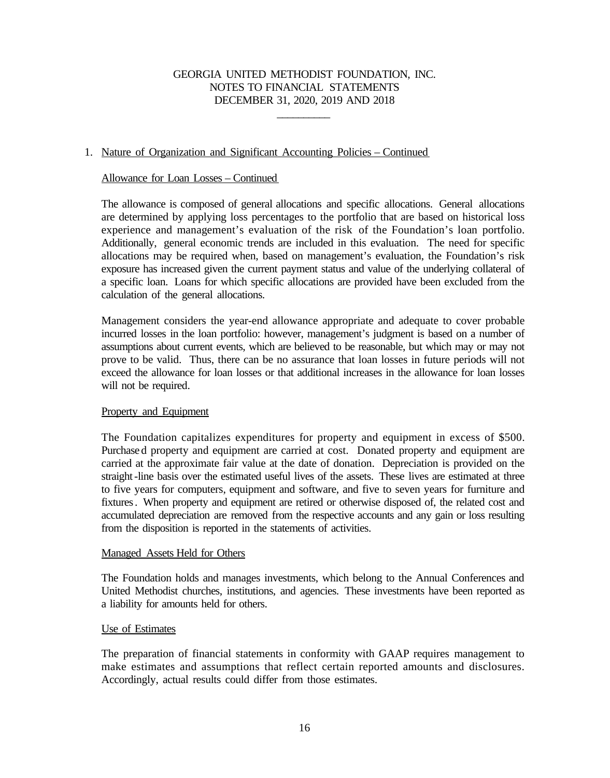\_\_\_\_\_\_\_\_\_\_

### 1. Nature of Organization and Significant Accounting Policies – Continued

#### Allowance for Loan Losses – Continued

The allowance is composed of general allocations and specific allocations. General allocations are determined by applying loss percentages to the portfolio that are based on historical loss experience and management's evaluation of the risk of the Foundation's loan portfolio. Additionally, general economic trends are included in this evaluation. The need for specific allocations may be required when, based on management's evaluation, the Foundation's risk exposure has increased given the current payment status and value of the underlying collateral of a specific loan. Loans for which specific allocations are provided have been excluded from the calculation of the general allocations.

Management considers the year-end allowance appropriate and adequate to cover probable incurred losses in the loan portfolio: however, management's judgment is based on a number of assumptions about current events, which are believed to be reasonable, but which may or may not prove to be valid. Thus, there can be no assurance that loan losses in future periods will not exceed the allowance for loan losses or that additional increases in the allowance for loan losses will not be required.

#### Property and Equipment

The Foundation capitalizes expenditures for property and equipment in excess of \$500. Purchase d property and equipment are carried at cost. Donated property and equipment are carried at the approximate fair value at the date of donation. Depreciation is provided on the straight-line basis over the estimated useful lives of the assets. These lives are estimated at three to five years for computers, equipment and software, and five to seven years for furniture and fixtures. When property and equipment are retired or otherwise disposed of, the related cost and accumulated depreciation are removed from the respective accounts and any gain or loss resulting from the disposition is reported in the statements of activities.

#### Managed Assets Held for Others

The Foundation holds and manages investments, which belong to the Annual Conferences and United Methodist churches, institutions, and agencies. These investments have been reported as a liability for amounts held for others.

#### Use of Estimates

The preparation of financial statements in conformity with GAAP requires management to make estimates and assumptions that reflect certain reported amounts and disclosures. Accordingly, actual results could differ from those estimates.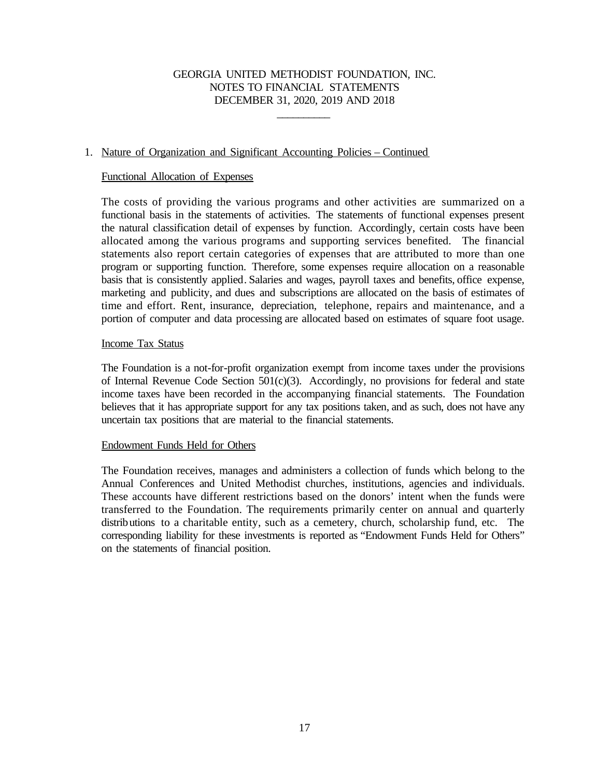\_\_\_\_\_\_\_\_\_\_

### 1. Nature of Organization and Significant Accounting Policies – Continued

#### Functional Allocation of Expenses

The costs of providing the various programs and other activities are summarized on a functional basis in the statements of activities. The statements of functional expenses present the natural classification detail of expenses by function. Accordingly, certain costs have been allocated among the various programs and supporting services benefited. The financial statements also report certain categories of expenses that are attributed to more than one program or supporting function. Therefore, some expenses require allocation on a reasonable basis that is consistently applied. Salaries and wages, payroll taxes and benefits, office expense, marketing and publicity, and dues and subscriptions are allocated on the basis of estimates of time and effort. Rent, insurance, depreciation, telephone, repairs and maintenance, and a portion of computer and data processing are allocated based on estimates of square foot usage.

#### Income Tax Status

The Foundation is a not-for-profit organization exempt from income taxes under the provisions of Internal Revenue Code Section 501(c)(3). Accordingly, no provisions for federal and state income taxes have been recorded in the accompanying financial statements. The Foundation believes that it has appropriate support for any tax positions taken, and as such, does not have any uncertain tax positions that are material to the financial statements.

#### Endowment Funds Held for Others

The Foundation receives, manages and administers a collection of funds which belong to the Annual Conferences and United Methodist churches, institutions, agencies and individuals. These accounts have different restrictions based on the donors' intent when the funds were transferred to the Foundation. The requirements primarily center on annual and quarterly distributions to a charitable entity, such as a cemetery, church, scholarship fund, etc. The corresponding liability for these investments is reported as "Endowment Funds Held for Others" on the statements of financial position.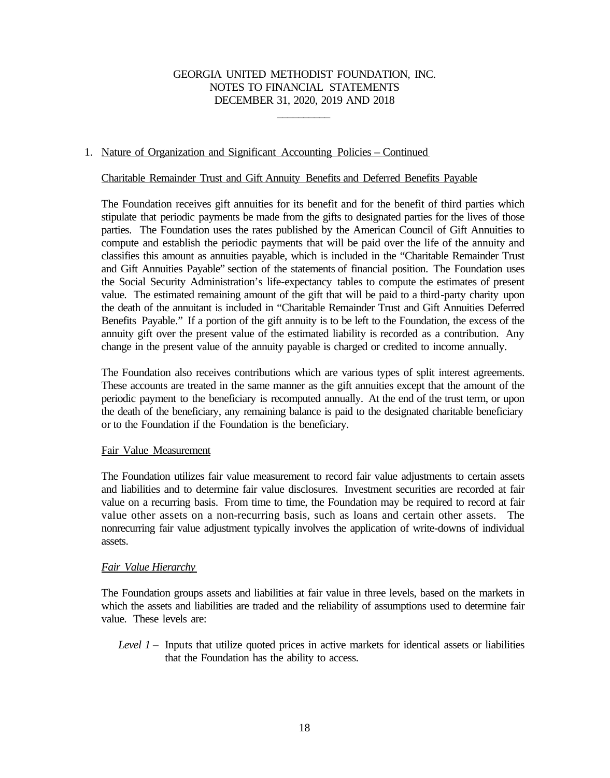\_\_\_\_\_\_\_\_\_\_

### 1. Nature of Organization and Significant Accounting Policies – Continued

#### Charitable Remainder Trust and Gift Annuity Benefits and Deferred Benefits Payable

The Foundation receives gift annuities for its benefit and for the benefit of third parties which stipulate that periodic payments be made from the gifts to designated parties for the lives of those parties. The Foundation uses the rates published by the American Council of Gift Annuities to compute and establish the periodic payments that will be paid over the life of the annuity and classifies this amount as annuities payable, which is included in the "Charitable Remainder Trust and Gift Annuities Payable" section of the statements of financial position. The Foundation uses the Social Security Administration's life-expectancy tables to compute the estimates of present value. The estimated remaining amount of the gift that will be paid to a third-party charity upon the death of the annuitant is included in "Charitable Remainder Trust and Gift Annuities Deferred Benefits Payable." If a portion of the gift annuity is to be left to the Foundation, the excess of the annuity gift over the present value of the estimated liability is recorded as a contribution. Any change in the present value of the annuity payable is charged or credited to income annually.

The Foundation also receives contributions which are various types of split interest agreements. These accounts are treated in the same manner as the gift annuities except that the amount of the periodic payment to the beneficiary is recomputed annually. At the end of the trust term, or upon the death of the beneficiary, any remaining balance is paid to the designated charitable beneficiary or to the Foundation if the Foundation is the beneficiary.

#### Fair Value Measurement

The Foundation utilizes fair value measurement to record fair value adjustments to certain assets and liabilities and to determine fair value disclosures. Investment securities are recorded at fair value on a recurring basis. From time to time, the Foundation may be required to record at fair value other assets on a non-recurring basis, such as loans and certain other assets. The nonrecurring fair value adjustment typically involves the application of write-downs of individual assets.

### *Fair Value Hierarchy*

The Foundation groups assets and liabilities at fair value in three levels, based on the markets in which the assets and liabilities are traded and the reliability of assumptions used to determine fair value. These levels are:

*Level 1* – Inputs that utilize quoted prices in active markets for identical assets or liabilities that the Foundation has the ability to access.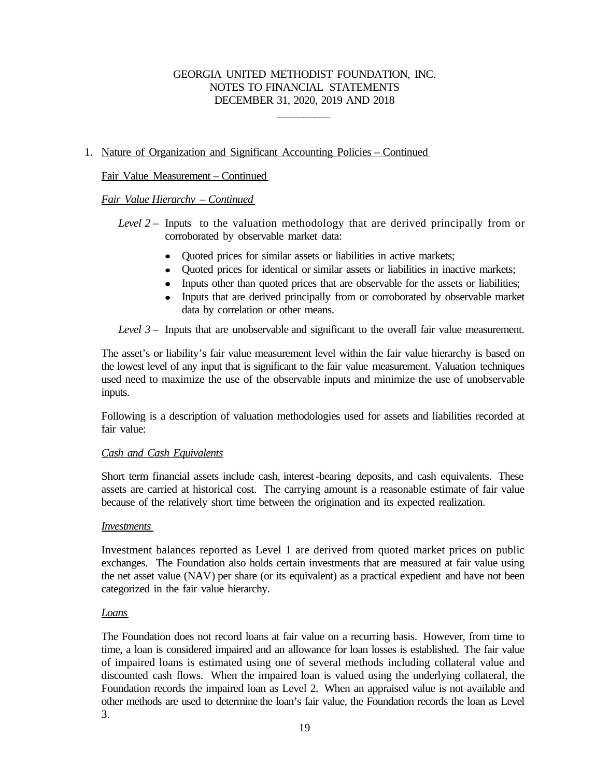\_\_\_\_\_\_\_\_\_\_

### 1. Nature of Organization and Significant Accounting Policies – Continued

### Fair Value Measurement – Continued

### *Fair Value Hierarchy – Continued*

*Level 2* – Inputs to the valuation methodology that are derived principally from or corroborated by observable market data:

- Quoted prices for similar assets or liabilities in active markets;
- Ouoted prices for identical or similar assets or liabilities in inactive markets;
- Inputs other than quoted prices that are observable for the assets or liabilities;
- Inputs that are derived principally from or corroborated by observable market data by correlation or other means.

*Level 3* – Inputs that are unobservable and significant to the overall fair value measurement.

The asset's or liability's fair value measurement level within the fair value hierarchy is based on the lowest level of any input that is significant to the fair value measurement. Valuation techniques used need to maximize the use of the observable inputs and minimize the use of unobservable inputs.

Following is a description of valuation methodologies used for assets and liabilities recorded at fair value:

#### *Cash and Cash Equivalents*

Short term financial assets include cash, interest-bearing deposits, and cash equivalents. These assets are carried at historical cost. The carrying amount is a reasonable estimate of fair value because of the relatively short time between the origination and its expected realization.

#### *Investments*

Investment balances reported as Level 1 are derived from quoted market prices on public exchanges. The Foundation also holds certain investments that are measured at fair value using the net asset value (NAV) per share (or its equivalent) as a practical expedient and have not been categorized in the fair value hierarchy.

#### *Loans*

The Foundation does not record loans at fair value on a recurring basis. However, from time to time, a loan is considered impaired and an allowance for loan losses is established. The fair value of impaired loans is estimated using one of several methods including collateral value and discounted cash flows. When the impaired loan is valued using the underlying collateral, the Foundation records the impaired loan as Level 2. When an appraised value is not available and other methods are used to determine the loan's fair value, the Foundation records the loan as Level 3.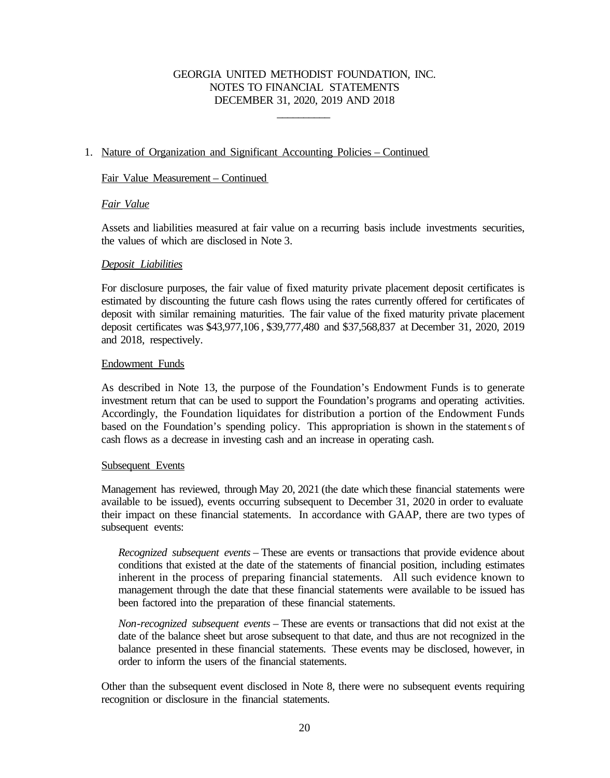\_\_\_\_\_\_\_\_\_\_

### 1. Nature of Organization and Significant Accounting Policies – Continued

#### Fair Value Measurement – Continued

### *Fair Value*

 Assets and liabilities measured at fair value on a recurring basis include investments securities, the values of which are disclosed in Note 3.

#### *Deposit Liabilities*

For disclosure purposes, the fair value of fixed maturity private placement deposit certificates is estimated by discounting the future cash flows using the rates currently offered for certificates of deposit with similar remaining maturities. The fair value of the fixed maturity private placement deposit certificates was \$43,977,106 , \$39,777,480 and \$37,568,837 at December 31, 2020, 2019 and 2018, respectively.

### Endowment Funds

As described in Note 13, the purpose of the Foundation's Endowment Funds is to generate investment return that can be used to support the Foundation's programs and operating activities. Accordingly, the Foundation liquidates for distribution a portion of the Endowment Funds based on the Foundation's spending policy. This appropriation is shown in the statements of cash flows as a decrease in investing cash and an increase in operating cash.

#### Subsequent Events

Management has reviewed, through May 20, 2021 (the date which these financial statements were available to be issued), events occurring subsequent to December 31, 2020 in order to evaluate their impact on these financial statements. In accordance with GAAP, there are two types of subsequent events:

*Recognized subsequent events* – These are events or transactions that provide evidence about conditions that existed at the date of the statements of financial position, including estimates inherent in the process of preparing financial statements. All such evidence known to management through the date that these financial statements were available to be issued has been factored into the preparation of these financial statements.

*Non-recognized subsequent events* – These are events or transactions that did not exist at the date of the balance sheet but arose subsequent to that date, and thus are not recognized in the balance presented in these financial statements. These events may be disclosed, however, in order to inform the users of the financial statements.

Other than the subsequent event disclosed in Note 8, there were no subsequent events requiring recognition or disclosure in the financial statements.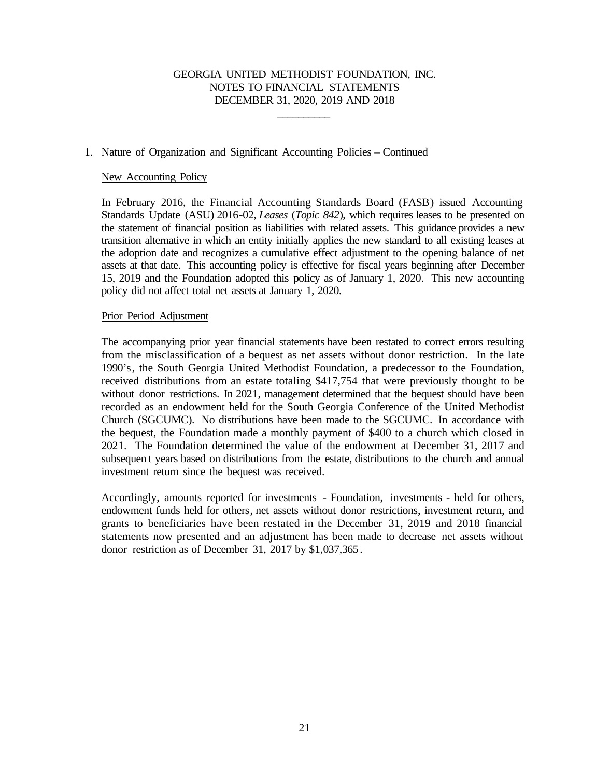\_\_\_\_\_\_\_\_\_\_

### 1. Nature of Organization and Significant Accounting Policies – Continued

#### New Accounting Policy

 In February 2016, the Financial Accounting Standards Board (FASB) issued Accounting Standards Update (ASU) 2016-02, *Leases* (*Topic 842*), which requires leases to be presented on the statement of financial position as liabilities with related assets. This guidance provides a new transition alternative in which an entity initially applies the new standard to all existing leases at the adoption date and recognizes a cumulative effect adjustment to the opening balance of net assets at that date. This accounting policy is effective for fiscal years beginning after December 15, 2019 and the Foundation adopted this policy as of January 1, 2020. This new accounting policy did not affect total net assets at January 1, 2020.

#### Prior Period Adjustment

The accompanying prior year financial statements have been restated to correct errors resulting from the misclassification of a bequest as net assets without donor restriction. In the late 1990's, the South Georgia United Methodist Foundation, a predecessor to the Foundation, received distributions from an estate totaling \$417,754 that were previously thought to be without donor restrictions. In 2021, management determined that the bequest should have been recorded as an endowment held for the South Georgia Conference of the United Methodist Church (SGCUMC). No distributions have been made to the SGCUMC. In accordance with the bequest, the Foundation made a monthly payment of \$400 to a church which closed in 2021. The Foundation determined the value of the endowment at December 31, 2017 and subsequen t years based on distributions from the estate, distributions to the church and annual investment return since the bequest was received.

Accordingly, amounts reported for investments - Foundation, investments - held for others, endowment funds held for others, net assets without donor restrictions, investment return, and grants to beneficiaries have been restated in the December 31, 2019 and 2018 financial statements now presented and an adjustment has been made to decrease net assets without donor restriction as of December 31, 2017 by \$1,037,365.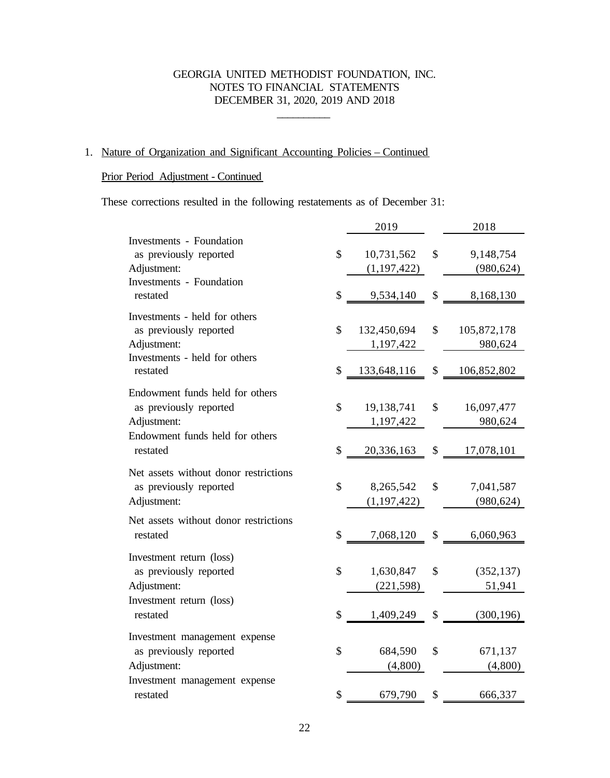\_\_\_\_\_\_\_\_\_\_

# 1. Nature of Organization and Significant Accounting Policies – Continued

### Prior Period Adjustment - Continued

These corrections resulted in the following restatements as of December 31:

|                                       | 2019              | 2018              |
|---------------------------------------|-------------------|-------------------|
| <b>Investments - Foundation</b>       |                   |                   |
| as previously reported                | \$<br>10,731,562  | \$<br>9,148,754   |
| Adjustment:                           | (1, 197, 422)     | (980, 624)        |
| <b>Investments</b> - Foundation       |                   |                   |
| restated                              | \$<br>9,534,140   | \$<br>8,168,130   |
| Investments - held for others         |                   |                   |
| as previously reported                | \$<br>132,450,694 | \$<br>105,872,178 |
| Adjustment:                           | 1,197,422         | 980,624           |
| Investments - held for others         |                   |                   |
| restated                              | \$<br>133,648,116 | \$<br>106,852,802 |
| Endowment funds held for others       |                   |                   |
| as previously reported                | \$<br>19,138,741  | \$<br>16,097,477  |
| Adjustment:                           | 1,197,422         | 980,624           |
| Endowment funds held for others       |                   |                   |
| restated                              | \$<br>20,336,163  | \$<br>17,078,101  |
| Net assets without donor restrictions |                   |                   |
| as previously reported                | \$<br>8,265,542   | \$<br>7,041,587   |
| Adjustment:                           | (1, 197, 422)     | (980, 624)        |
| Net assets without donor restrictions |                   |                   |
| restated                              | \$<br>7,068,120   | \$<br>6,060,963   |
|                                       |                   |                   |
| Investment return (loss)              |                   |                   |
| as previously reported                | \$<br>1,630,847   | \$<br>(352, 137)  |
| Adjustment:                           | (221, 598)        | 51,941            |
| Investment return (loss)<br>restated  | \$<br>1,409,249   | \$<br>(300, 196)  |
|                                       |                   |                   |
| Investment management expense         |                   |                   |
| as previously reported                | \$<br>684,590     | \$<br>671,137     |
| Adjustment:                           | (4,800)           | (4,800)           |
| Investment management expense         |                   |                   |
| restated                              | \$<br>679,790     | \$<br>666,337     |
|                                       |                   |                   |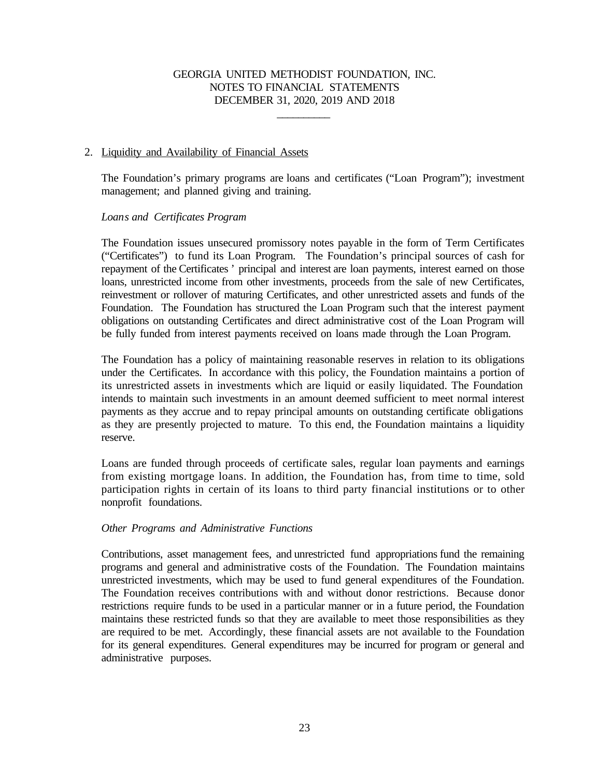\_\_\_\_\_\_\_\_\_\_

#### 2. Liquidity and Availability of Financial Assets

The Foundation's primary programs are loans and certificates ("Loan Program"); investment management; and planned giving and training.

#### *Loans and Certificates Program*

The Foundation issues unsecured promissory notes payable in the form of Term Certificates ("Certificates") to fund its Loan Program. The Foundation's principal sources of cash for repayment of the Certificates ' principal and interest are loan payments, interest earned on those loans, unrestricted income from other investments, proceeds from the sale of new Certificates, reinvestment or rollover of maturing Certificates, and other unrestricted assets and funds of the Foundation. The Foundation has structured the Loan Program such that the interest payment obligations on outstanding Certificates and direct administrative cost of the Loan Program will be fully funded from interest payments received on loans made through the Loan Program.

The Foundation has a policy of maintaining reasonable reserves in relation to its obligations under the Certificates. In accordance with this policy, the Foundation maintains a portion of its unrestricted assets in investments which are liquid or easily liquidated. The Foundation intends to maintain such investments in an amount deemed sufficient to meet normal interest payments as they accrue and to repay principal amounts on outstanding certificate obligations as they are presently projected to mature. To this end, the Foundation maintains a liquidity reserve.

Loans are funded through proceeds of certificate sales, regular loan payments and earnings from existing mortgage loans. In addition, the Foundation has, from time to time, sold participation rights in certain of its loans to third party financial institutions or to other nonprofit foundations.

#### *Other Programs and Administrative Functions*

Contributions, asset management fees, and unrestricted fund appropriations fund the remaining programs and general and administrative costs of the Foundation. The Foundation maintains unrestricted investments, which may be used to fund general expenditures of the Foundation. The Foundation receives contributions with and without donor restrictions. Because donor restrictions require funds to be used in a particular manner or in a future period, the Foundation maintains these restricted funds so that they are available to meet those responsibilities as they are required to be met. Accordingly, these financial assets are not available to the Foundation for its general expenditures. General expenditures may be incurred for program or general and administrative purposes.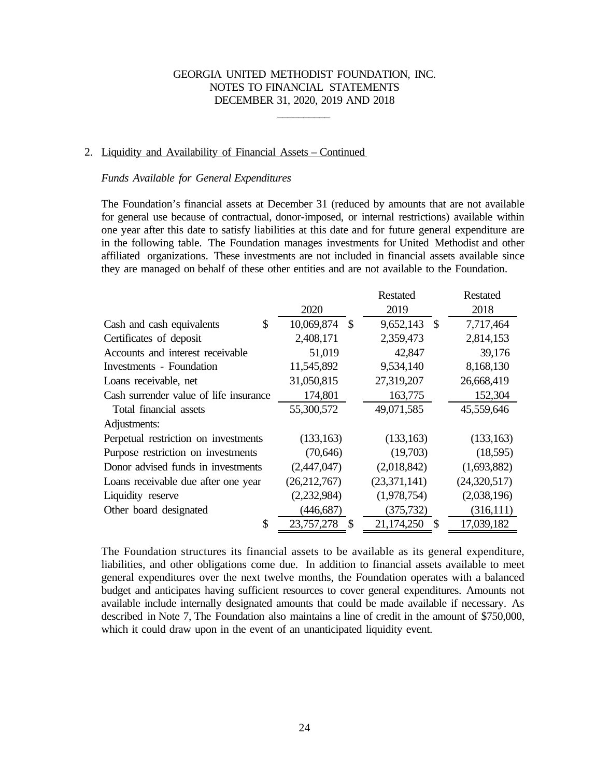\_\_\_\_\_\_\_\_\_\_

#### 2. Liquidity and Availability of Financial Assets – Continued

#### *Funds Available for General Expenditures*

The Foundation's financial assets at December 31 (reduced by amounts that are not available for general use because of contractual, donor-imposed, or internal restrictions) available within one year after this date to satisfy liabilities at this date and for future general expenditure are in the following table. The Foundation manages investments for United Methodist and other affiliated organizations. These investments are not included in financial assets available since they are managed on behalf of these other entities and are not available to the Foundation.

|                                        |                    | <b>Restated</b>                         | <b>Restated</b> |
|----------------------------------------|--------------------|-----------------------------------------|-----------------|
|                                        | 2020               | 2019                                    | 2018            |
| \$<br>Cash and cash equivalents        | 10,069,874<br>- \$ | 9,652,143 \$                            | 7,717,464       |
| Certificates of deposit                | 2,408,171          | 2,359,473                               | 2,814,153       |
| Accounts and interest receivable       | 51,019             | 42,847                                  | 39,176          |
| <b>Investments</b> - Foundation        | 11,545,892         | 9,534,140                               | 8,168,130       |
| Loans receivable, net                  | 31,050,815         | 27,319,207                              | 26,668,419      |
| Cash surrender value of life insurance | 174,801            | 163,775                                 | 152,304         |
| Total financial assets                 | 55,300,572         | 49,071,585                              | 45,559,646      |
| Adjustments:                           |                    |                                         |                 |
| Perpetual restriction on investments   | (133, 163)         | (133, 163)                              | (133, 163)      |
| Purpose restriction on investments     | (70,646)           | (19,703)                                | (18,595)        |
| Donor advised funds in investments     | (2,447,047)        | (2,018,842)                             | (1,693,882)     |
| Loans receivable due after one year    | (26, 212, 767)     | (23,371,141)                            | (24,320,517)    |
| Liquidity reserve                      | (2,232,984)        | (1,978,754)                             | (2,038,196)     |
| Other board designated                 | (446, 687)         | (375, 732)                              | (316,111)       |
| \$                                     | 23,757,278<br>\$   | 21,174,250<br>$\boldsymbol{\mathsf{S}}$ | 17,039,182      |

The Foundation structures its financial assets to be available as its general expenditure, liabilities, and other obligations come due. In addition to financial assets available to meet general expenditures over the next twelve months, the Foundation operates with a balanced budget and anticipates having sufficient resources to cover general expenditures. Amounts not available include internally designated amounts that could be made available if necessary. As described in Note 7, The Foundation also maintains a line of credit in the amount of \$750,000, which it could draw upon in the event of an unanticipated liquidity event.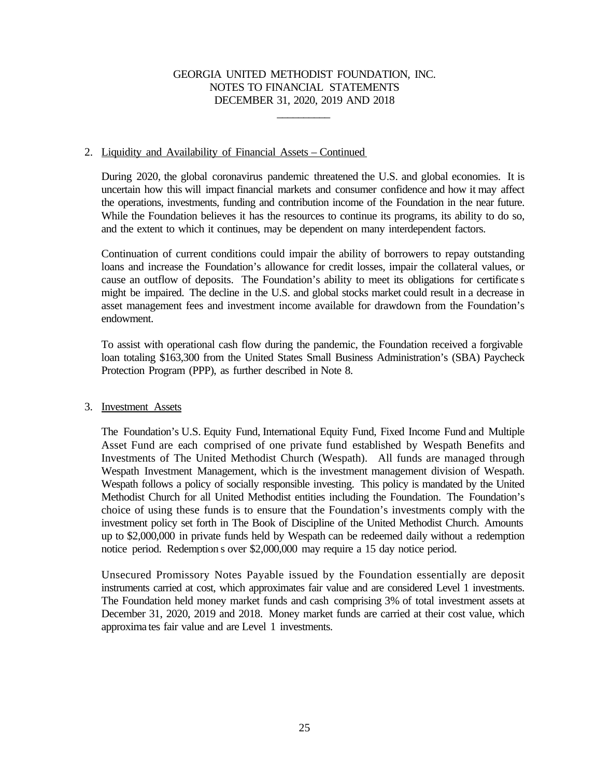\_\_\_\_\_\_\_\_\_\_

#### 2. Liquidity and Availability of Financial Assets – Continued

During 2020, the global coronavirus pandemic threatened the U.S. and global economies. It is uncertain how this will impact financial markets and consumer confidence and how it may affect the operations, investments, funding and contribution income of the Foundation in the near future. While the Foundation believes it has the resources to continue its programs, its ability to do so, and the extent to which it continues, may be dependent on many interdependent factors.

Continuation of current conditions could impair the ability of borrowers to repay outstanding loans and increase the Foundation's allowance for credit losses, impair the collateral values, or cause an outflow of deposits. The Foundation's ability to meet its obligations for certificate s might be impaired. The decline in the U.S. and global stocks market could result in a decrease in asset management fees and investment income available for drawdown from the Foundation's endowment.

To assist with operational cash flow during the pandemic, the Foundation received a forgivable loan totaling \$163,300 from the United States Small Business Administration's (SBA) Paycheck Protection Program (PPP), as further described in Note 8.

#### 3. Investment Assets

The Foundation's U.S. Equity Fund, International Equity Fund, Fixed Income Fund and Multiple Asset Fund are each comprised of one private fund established by Wespath Benefits and Investments of The United Methodist Church (Wespath). All funds are managed through Wespath Investment Management, which is the investment management division of Wespath. Wespath follows a policy of socially responsible investing. This policy is mandated by the United Methodist Church for all United Methodist entities including the Foundation. The Foundation's choice of using these funds is to ensure that the Foundation's investments comply with the investment policy set forth in The Book of Discipline of the United Methodist Church. Amounts up to \$2,000,000 in private funds held by Wespath can be redeemed daily without a redemption notice period. Redemption s over \$2,000,000 may require a 15 day notice period.

Unsecured Promissory Notes Payable issued by the Foundation essentially are deposit instruments carried at cost, which approximates fair value and are considered Level 1 investments. The Foundation held money market funds and cash comprising 3% of total investment assets at December 31, 2020, 2019 and 2018. Money market funds are carried at their cost value, which approxima tes fair value and are Level 1 investments.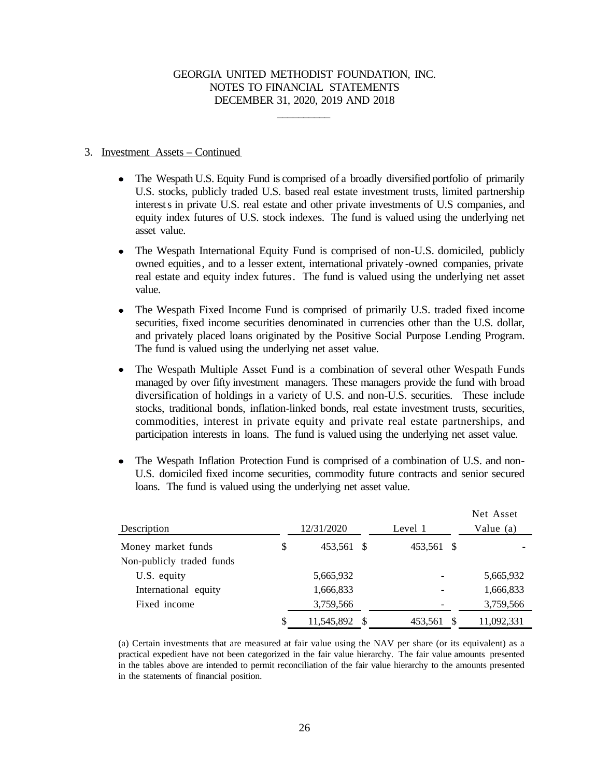\_\_\_\_\_\_\_\_\_\_

#### 3. Investment Assets – Continued

- The Wespath U.S. Equity Fund is comprised of a broadly diversified portfolio of primarily U.S. stocks, publicly traded U.S. based real estate investment trusts, limited partnership interests in private U.S. real estate and other private investments of U.S companies, and equity index futures of U.S. stock indexes. The fund is valued using the underlying net asset value.
- The Wespath International Equity Fund is comprised of non-U.S. domiciled, publicly owned equities, and to a lesser extent, international privately -owned companies, private real estate and equity index futures. The fund is valued using the underlying net asset value.
- The Wespath Fixed Income Fund is comprised of primarily U.S. traded fixed income  $\bullet$ securities, fixed income securities denominated in currencies other than the U.S. dollar, and privately placed loans originated by the Positive Social Purpose Lending Program. The fund is valued using the underlying net asset value.
- The Wespath Multiple Asset Fund is a combination of several other Wespath Funds  $\bullet$ managed by over fifty investment managers. These managers provide the fund with broad diversification of holdings in a variety of U.S. and non-U.S. securities. These include stocks, traditional bonds, inflation-linked bonds, real estate investment trusts, securities, commodities, interest in private equity and private real estate partnerships, and participation interests in loans. The fund is valued using the underlying net asset value.
- The Wespath Inflation Protection Fund is comprised of a combination of U.S. and non-U.S. domiciled fixed income securities, commodity future contracts and senior secured loans. The fund is valued using the underlying net asset value.

| Description               | 12/31/2020       | Level 1    | Net Asset<br>Value (a) |
|---------------------------|------------------|------------|------------------------|
| Money market funds        | \$<br>453,561 \$ | 453,561 \$ |                        |
| Non-publicly traded funds |                  |            |                        |
| U.S. equity               | 5,665,932        |            | 5,665,932              |
| International equity      | 1,666,833        |            | 1,666,833              |
| Fixed income              | 3,759,566        |            | 3,759,566              |
|                           | \$<br>11,545,892 | 453,561    | 11,092,331             |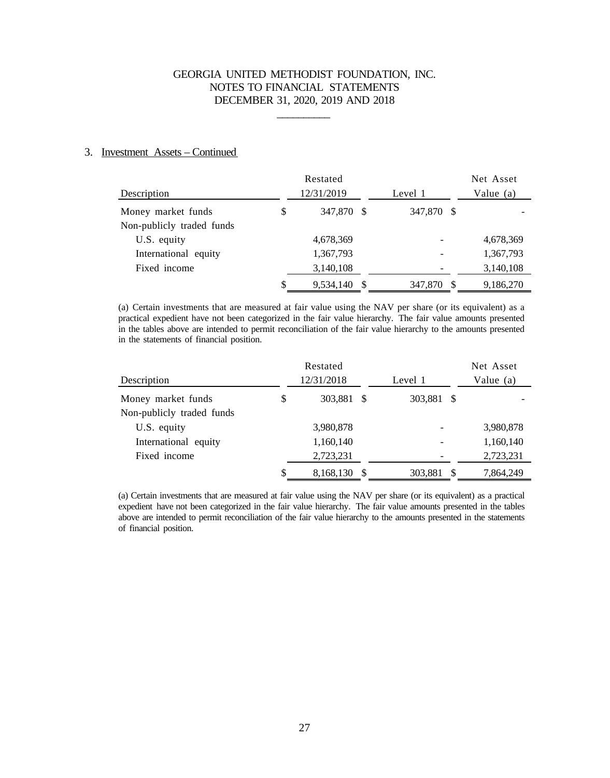\_\_\_\_\_\_\_\_\_\_

#### 3. Investment Assets – Continued

|                           | Restated           |                              | Net Asset   |
|---------------------------|--------------------|------------------------------|-------------|
| Description               | 12/31/2019         | Level 1                      | Value $(a)$ |
| Money market funds        | \$<br>347,870 \$   | 347,870<br>- S               |             |
| Non-publicly traded funds |                    |                              |             |
| U.S. equity               | 4,678,369          | $\qquad \qquad$              | 4,678,369   |
| International equity      | 1,367,793          | $\qquad \qquad \blacksquare$ | 1,367,793   |
| Fixed income              | 3,140,108          |                              | 3,140,108   |
|                           | \$<br>9,534,140 \$ | 347,870                      | 9,186,270   |

(a) Certain investments that are measured at fair value using the NAV per share (or its equivalent) as a practical expedient have not been categorized in the fair value hierarchy. The fair value amounts presented in the tables above are intended to permit reconciliation of the fair value hierarchy to the amounts presented in the statements of financial position.

|                           | Restated         |            | Net Asset   |
|---------------------------|------------------|------------|-------------|
| Description               | 12/31/2018       | Level 1    | Value $(a)$ |
| Money market funds        | \$<br>303,881 \$ | 303,881 \$ |             |
| Non-publicly traded funds |                  |            |             |
| U.S. equity               | 3,980,878        |            | 3,980,878   |
| International equity      | 1,160,140        |            | 1,160,140   |
| Fixed income              | 2,723,231        |            | 2,723,231   |
|                           | \$<br>8,168,130  | 303,881    | 7,864,249   |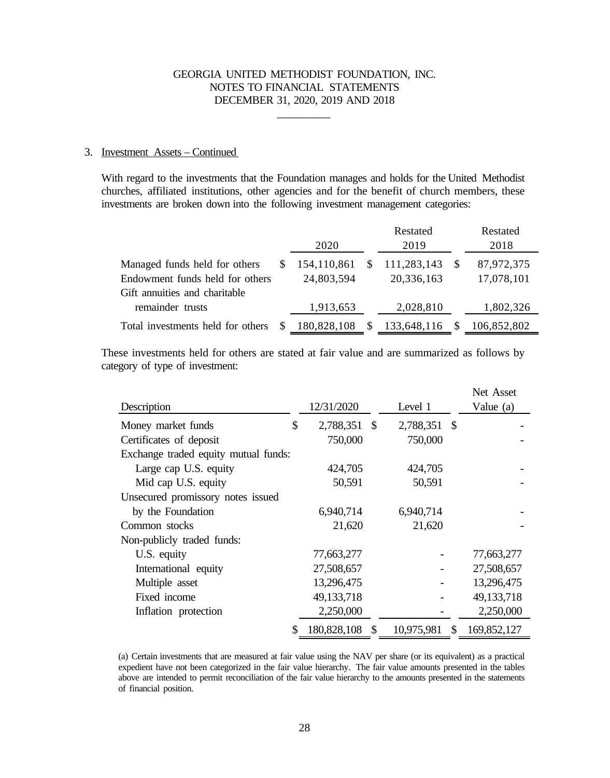\_\_\_\_\_\_\_\_\_\_

#### 3. Investment Assets – Continued

With regard to the investments that the Foundation manages and holds for the United Methodist churches, affiliated institutions, other agencies and for the benefit of church members, these investments are broken down into the following investment management categories:

|                                   |             | Restated    |              | Restated    |
|-----------------------------------|-------------|-------------|--------------|-------------|
|                                   | 2020        | 2019        |              | 2018        |
| Managed funds held for others     | 154,110,861 | 111,283,143 | <sup>S</sup> | 87,972,375  |
| Endowment funds held for others   | 24,803,594  | 20,336,163  |              | 17,078,101  |
| Gift annuities and charitable     |             |             |              |             |
| remainder trusts                  | 1,913,653   | 2,028,810   |              | 1,802,326   |
| Total investments held for others | 180,828,108 | 133,648,116 |              | 106,852,802 |

These investments held for others are stated at fair value and are summarized as follows by category of type of investment:

| Description                          | 12/31/2020         |              | Level 1      | Net Asset<br>Value (a) |
|--------------------------------------|--------------------|--------------|--------------|------------------------|
| Money market funds                   | \$<br>2,788,351 \$ |              | 2,788,351 \$ |                        |
| Certificates of deposit              | 750,000            |              | 750,000      |                        |
| Exchange traded equity mutual funds: |                    |              |              |                        |
| Large cap U.S. equity                | 424,705            |              | 424,705      |                        |
| Mid cap U.S. equity                  | 50,591             |              | 50,591       |                        |
| Unsecured promissory notes issued    |                    |              |              |                        |
| by the Foundation                    | 6,940,714          |              | 6,940,714    |                        |
| Common stocks                        | 21,620             |              | 21,620       |                        |
| Non-publicly traded funds:           |                    |              |              |                        |
| U.S. equity                          | 77,663,277         |              |              | 77,663,277             |
| International equity                 | 27,508,657         |              |              | 27,508,657             |
| Multiple asset                       | 13,296,475         |              |              | 13,296,475             |
| Fixed income                         | 49,133,718         |              |              | 49, 133, 718           |
| Inflation protection                 | 2,250,000          |              |              | 2,250,000              |
|                                      | 180,828,108        | $\mathbb{S}$ | 10,975,981   | \$169,852,127          |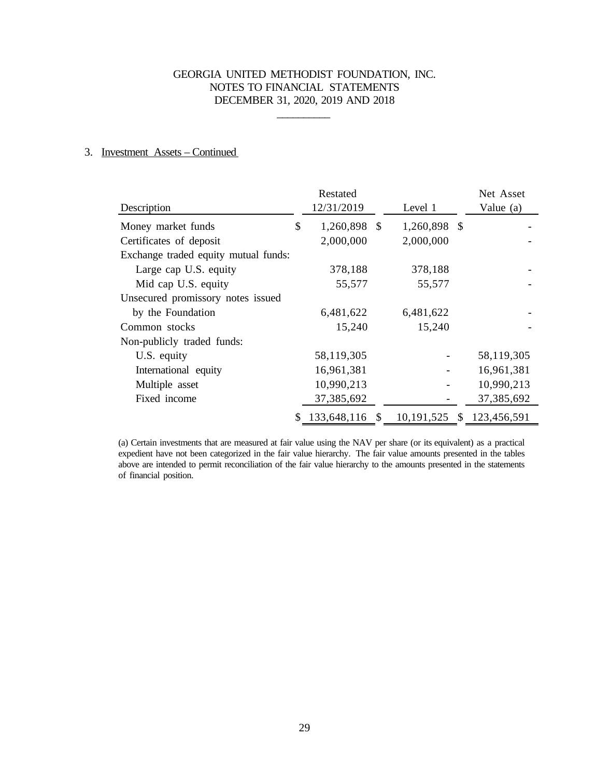\_\_\_\_\_\_\_\_\_\_

### 3. Investment Assets – Continued

|                                      | Restated           |                                          | Net Asset  |
|--------------------------------------|--------------------|------------------------------------------|------------|
| Description                          | 12/31/2019         | Level 1                                  | Value (a)  |
| Money market funds                   | \$<br>1,260,898 \$ | 1,260,898 \$                             |            |
| Certificates of deposit              | 2,000,000          | 2,000,000                                |            |
| Exchange traded equity mutual funds: |                    |                                          |            |
| Large cap U.S. equity                | 378,188            | 378,188                                  |            |
| Mid cap U.S. equity                  | 55,577             | 55,577                                   |            |
| Unsecured promissory notes issued    |                    |                                          |            |
| by the Foundation                    | 6,481,622          | 6,481,622                                |            |
| Common stocks                        | 15,240             | 15,240                                   |            |
| Non-publicly traded funds:           |                    |                                          |            |
| U.S. equity                          | 58,119,305         |                                          | 58,119,305 |
| International equity                 | 16,961,381         |                                          | 16,961,381 |
| Multiple asset                       | 10,990,213         |                                          | 10,990,213 |
| Fixed income                         | 37,385,692         |                                          | 37,385,692 |
|                                      |                    | 133,648,116 \$ 10,191,525 \$ 123,456,591 |            |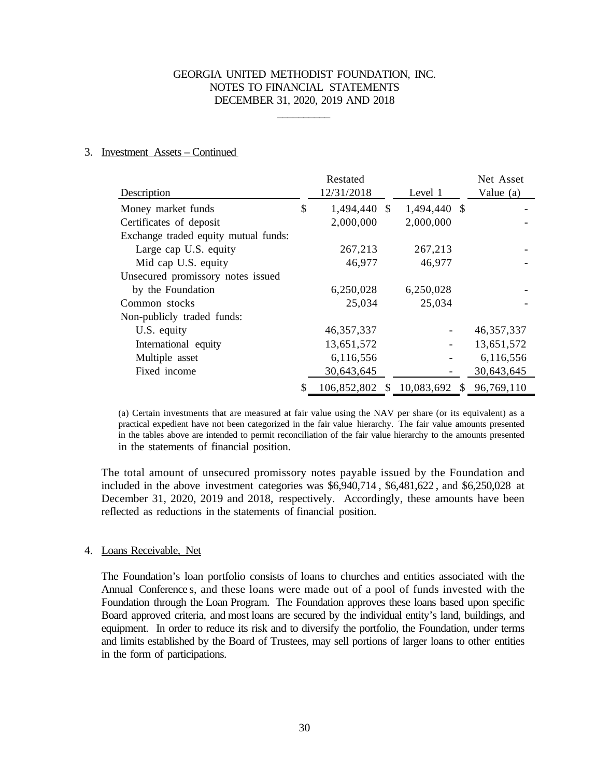\_\_\_\_\_\_\_\_\_\_

#### 3. Investment Assets – Continued

|                                      | Restated                     |              | Net Asset    |
|--------------------------------------|------------------------------|--------------|--------------|
| Description                          | 12/31/2018                   | Level 1      | Value (a)    |
| Money market funds                   | \$<br>1,494,440 \$           | 1,494,440 \$ |              |
| Certificates of deposit              | 2,000,000                    | 2,000,000    |              |
| Exchange traded equity mutual funds: |                              |              |              |
| Large cap U.S. equity                | 267,213                      | 267,213      |              |
| Mid cap U.S. equity                  | 46,977                       | 46,977       |              |
| Unsecured promissory notes issued    |                              |              |              |
| by the Foundation                    | 6,250,028                    | 6,250,028    |              |
| Common stocks                        | 25,034                       | 25,034       |              |
| Non-publicly traded funds:           |                              |              |              |
| U.S. equity                          | 46, 357, 337                 |              | 46, 357, 337 |
| International equity                 | 13,651,572                   |              | 13,651,572   |
| Multiple asset                       | 6,116,556                    |              | 6,116,556    |
| Fixed income                         | 30,643,645                   |              | 30,643,645   |
|                                      | 106,852,802 \$ 10,083,692 \$ |              | 96,769,110   |

(a) Certain investments that are measured at fair value using the NAV per share (or its equivalent) as a practical expedient have not been categorized in the fair value hierarchy. The fair value amounts presented in the tables above are intended to permit reconciliation of the fair value hierarchy to the amounts presented in the statements of financial position.

The total amount of unsecured promissory notes payable issued by the Foundation and included in the above investment categories was \$6,940,714 , \$6,481,622 , and \$6,250,028 at December 31, 2020, 2019 and 2018, respectively. Accordingly, these amounts have been reflected as reductions in the statements of financial position.

#### 4. Loans Receivable, Net

The Foundation's loan portfolio consists of loans to churches and entities associated with the Annual Conference s, and these loans were made out of a pool of funds invested with the Foundation through the Loan Program. The Foundation approves these loans based upon specific Board approved criteria, and most loans are secured by the individual entity's land, buildings, and equipment. In order to reduce its risk and to diversify the portfolio, the Foundation, under terms and limits established by the Board of Trustees, may sell portions of larger loans to other entities in the form of participations.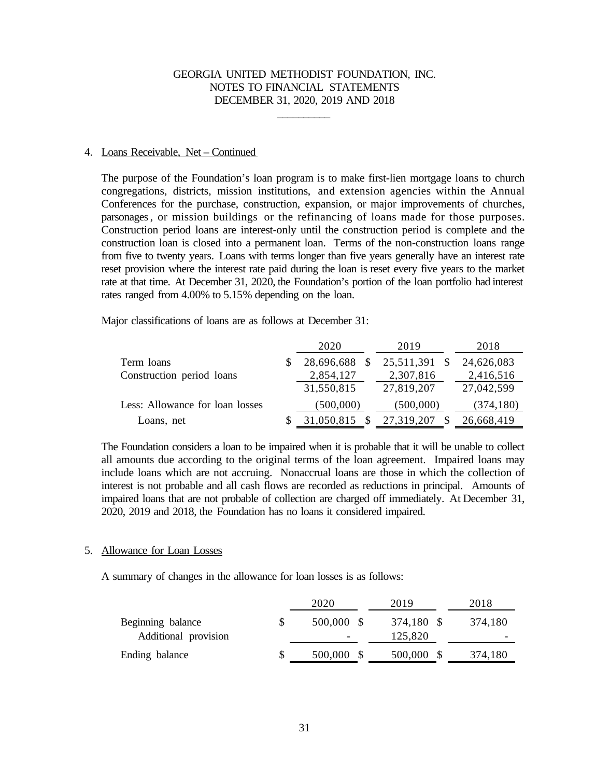\_\_\_\_\_\_\_\_\_\_

#### 4. Loans Receivable, Net – Continued

The purpose of the Foundation's loan program is to make first-lien mortgage loans to church congregations, districts, mission institutions, and extension agencies within the Annual Conferences for the purchase, construction, expansion, or major improvements of churches, parsonages, or mission buildings or the refinancing of loans made for those purposes. Construction period loans are interest-only until the construction period is complete and the construction loan is closed into a permanent loan. Terms of the non-construction loans range from five to twenty years. Loans with terms longer than five years generally have an interest rate reset provision where the interest rate paid during the loan is reset every five years to the market rate at that time. At December 31, 2020, the Foundation's portion of the loan portfolio had interest rates ranged from 4.00% to 5.15% depending on the loan.

Major classifications of loans are as follows at December 31:

|                                 | 2020       | 2019       | 2018       |
|---------------------------------|------------|------------|------------|
| Term loans                      | 28,696,688 | 25,511,391 | 24,626,083 |
| Construction period loans       | 2,854,127  | 2,307,816  | 2,416,516  |
|                                 | 31,550,815 | 27,819,207 | 27,042,599 |
| Less: Allowance for loan losses | (500,000)  | (500,000)  | (374, 180) |
| Loans, net                      | 31,050,815 | 27,319,207 | 26,668,419 |

The Foundation considers a loan to be impaired when it is probable that it will be unable to collect all amounts due according to the original terms of the loan agreement. Impaired loans may include loans which are not accruing. Nonaccrual loans are those in which the collection of interest is not probable and all cash flows are recorded as reductions in principal. Amounts of impaired loans that are not probable of collection are charged off immediately. At December 31, 2020, 2019 and 2018, the Foundation has no loans it considered impaired.

#### 5. Allowance for Loan Losses

A summary of changes in the allowance for loan losses is as follows:

| 2020       | 2019       | 2018    |
|------------|------------|---------|
| 500,000 \$ | 374,180 \$ | 374,180 |
| -          | 125,820    |         |
| 500,000    | 500,000    | 374,180 |
|            |            |         |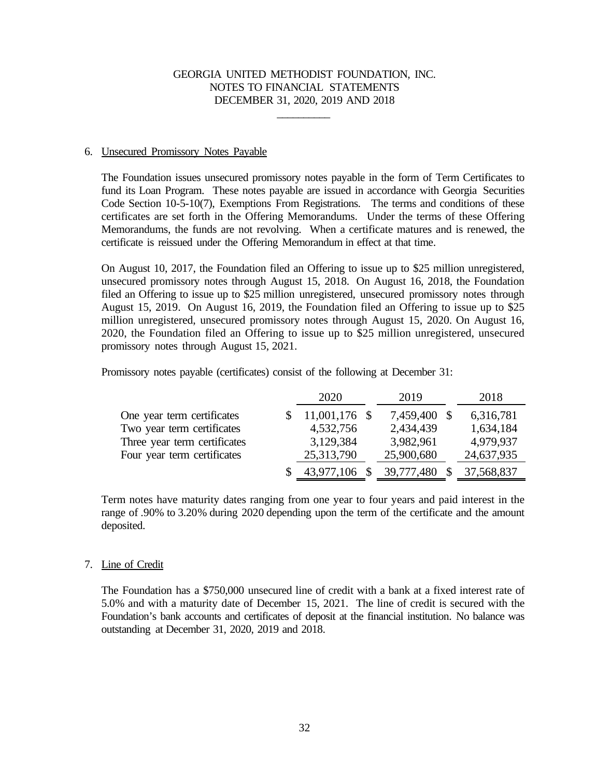\_\_\_\_\_\_\_\_\_\_

#### 6. Unsecured Promissory Notes Payable

The Foundation issues unsecured promissory notes payable in the form of Term Certificates to fund its Loan Program. These notes payable are issued in accordance with Georgia Securities Code Section 10-5-10(7), Exemptions From Registrations. The terms and conditions of these certificates are set forth in the Offering Memorandums. Under the terms of these Offering Memorandums, the funds are not revolving. When a certificate matures and is renewed, the certificate is reissued under the Offering Memorandum in effect at that time.

On August 10, 2017, the Foundation filed an Offering to issue up to \$25 million unregistered, unsecured promissory notes through August 15, 2018. On August 16, 2018, the Foundation filed an Offering to issue up to \$25 million unregistered, unsecured promissory notes through August 15, 2019. On August 16, 2019, the Foundation filed an Offering to issue up to \$25 million unregistered, unsecured promissory notes through August 15, 2020. On August 16, 2020, the Foundation filed an Offering to issue up to \$25 million unregistered, unsecured promissory notes through August 15, 2021.

Promissory notes payable (certificates) consist of the following at December 31:

|                              | 2020            | 2019       | 2018       |
|------------------------------|-----------------|------------|------------|
| One year term certificates   | $11,001,176$ \$ | 7,459,400  | 6,316,781  |
| Two year term certificates   | 4,532,756       | 2,434,439  | 1,634,184  |
| Three year term certificates | 3,129,384       | 3,982,961  | 4,979,937  |
| Four year term certificates  | 25,313,790      | 25,900,680 | 24,637,935 |
|                              | 43,977,106      | 39,777,480 | 37,568,837 |

Term notes have maturity dates ranging from one year to four years and paid interest in the range of .90% to 3.20% during 2020 depending upon the term of the certificate and the amount deposited.

#### 7. Line of Credit

The Foundation has a \$750,000 unsecured line of credit with a bank at a fixed interest rate of 5.0% and with a maturity date of December 15, 2021. The line of credit is secured with the Foundation's bank accounts and certificates of deposit at the financial institution. No balance was outstanding at December 31, 2020, 2019 and 2018.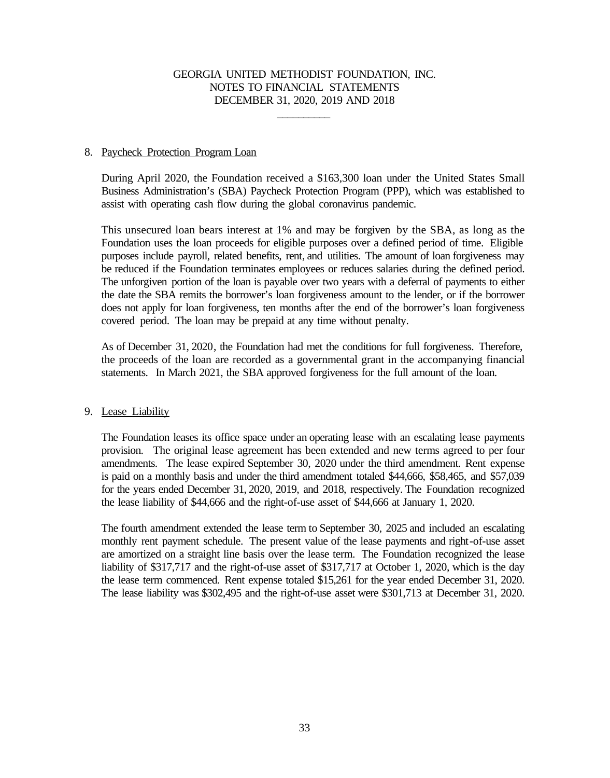\_\_\_\_\_\_\_\_\_\_

#### 8. Paycheck Protection Program Loan

During April 2020, the Foundation received a \$163,300 loan under the United States Small Business Administration's (SBA) Paycheck Protection Program (PPP), which was established to assist with operating cash flow during the global coronavirus pandemic.

 This unsecured loan bears interest at 1% and may be forgiven by the SBA, as long as the Foundation uses the loan proceeds for eligible purposes over a defined period of time. Eligible purposes include payroll, related benefits, rent, and utilities. The amount of loan forgiveness may be reduced if the Foundation terminates employees or reduces salaries during the defined period. The unforgiven portion of the loan is payable over two years with a deferral of payments to either the date the SBA remits the borrower's loan forgiveness amount to the lender, or if the borrower does not apply for loan forgiveness, ten months after the end of the borrower's loan forgiveness covered period. The loan may be prepaid at any time without penalty.

As of December 31, 2020, the Foundation had met the conditions for full forgiveness. Therefore, the proceeds of the loan are recorded as a governmental grant in the accompanying financial statements. In March 2021, the SBA approved forgiveness for the full amount of the loan.

### 9. Lease Liability

The Foundation leases its office space under an operating lease with an escalating lease payments provision. The original lease agreement has been extended and new terms agreed to per four amendments. The lease expired September 30, 2020 under the third amendment. Rent expense is paid on a monthly basis and under the third amendment totaled \$44,666, \$58,465, and \$57,039 for the years ended December 31, 2020, 2019, and 2018, respectively. The Foundation recognized the lease liability of \$44,666 and the right-of-use asset of \$44,666 at January 1, 2020.

The fourth amendment extended the lease term to September 30, 2025 and included an escalating monthly rent payment schedule. The present value of the lease payments and right-of-use asset are amortized on a straight line basis over the lease term. The Foundation recognized the lease liability of \$317,717 and the right-of-use asset of \$317,717 at October 1, 2020, which is the day the lease term commenced. Rent expense totaled \$15,261 for the year ended December 31, 2020. The lease liability was \$302,495 and the right-of-use asset were \$301,713 at December 31, 2020.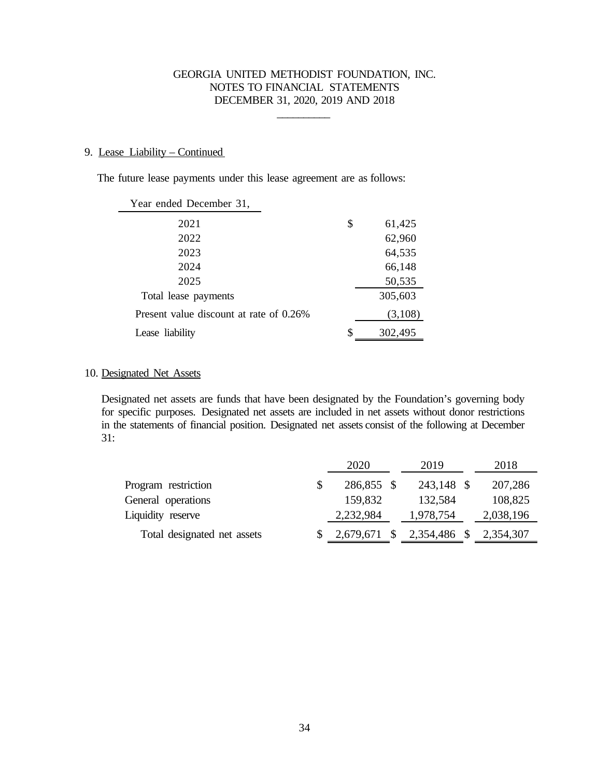\_\_\_\_\_\_\_\_\_\_

#### 9. Lease Liability – Continued

÷.

The future lease payments under this lease agreement are as follows:

| Year ended December 31,                 |               |
|-----------------------------------------|---------------|
| 2021                                    | \$<br>61,425  |
| 2022                                    | 62,960        |
| 2023                                    | 64,535        |
| 2024                                    | 66,148        |
| 2025                                    | 50,535        |
| Total lease payments                    | 305,603       |
| Present value discount at rate of 0.26% | (3,108)       |
| Lease liability                         | \$<br>302,495 |

#### 10. Designated Net Assets

Designated net assets are funds that have been designated by the Foundation's governing body for specific purposes. Designated net assets are included in net assets without donor restrictions in the statements of financial position. Designated net assets consist of the following at December 31:

|                             | 2020       | 2019                      | 2018      |
|-----------------------------|------------|---------------------------|-----------|
| Program restriction         | 286,855 \$ | 243,148 \$                | 207,286   |
| General operations          | 159,832    | 132,584                   | 108,825   |
| Liquidity reserve           | 2,232,984  | 1,978,754                 | 2,038,196 |
| Total designated net assets |            | 2,679,671 \$ 2,354,486 \$ | 2,354,307 |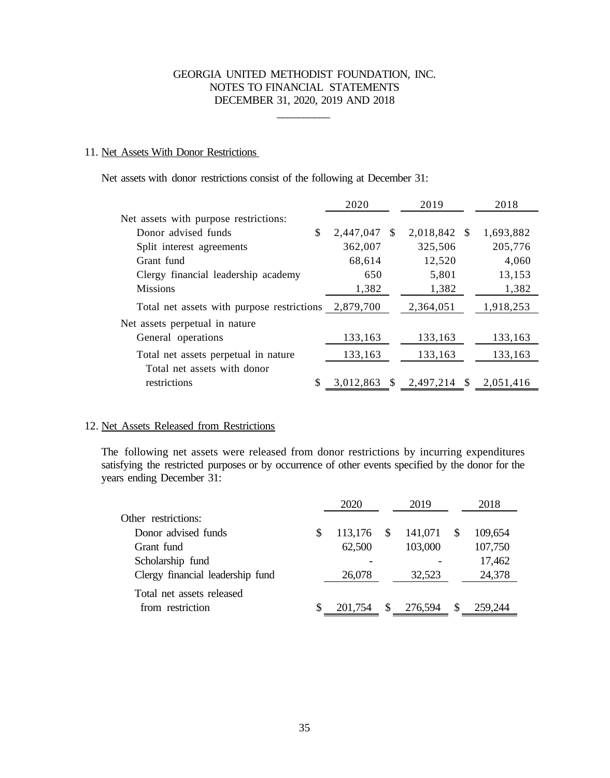\_\_\_\_\_\_\_\_\_\_

#### 11. Net Assets With Donor Restrictions

Net assets with donor restrictions consist of the following at December 31:

|                                            | 2020            | 2019              | 2018      |
|--------------------------------------------|-----------------|-------------------|-----------|
| Net assets with purpose restrictions:      |                 |                   |           |
| Donor advised funds<br>\$                  | 2,447,047<br>-S | 2,018,842 \$      | 1,693,882 |
| Split interest agreements                  | 362,007         | 325,506           | 205,776   |
| Grant fund                                 | 68,614          | 12,520            | 4,060     |
| Clergy financial leadership academy        | 650             | 5,801             | 13,153    |
| <b>Missions</b>                            | 1,382           | 1,382             | 1,382     |
| Total net assets with purpose restrictions | 2,879,700       | 2,364,051         | 1,918,253 |
| Net assets perpetual in nature             |                 |                   |           |
| General operations                         | 133,163         | 133,163           | 133,163   |
| Total net assets perpetual in nature       | 133,163         | 133,163           | 133,163   |
| Total net assets with donor                |                 |                   |           |
| restrictions                               | 3,012,863<br>-S | 2,497,214<br>- \$ | 2,051,416 |

### 12. Net Assets Released from Restrictions

The following net assets were released from donor restrictions by incurring expenditures satisfying the restricted purposes or by occurrence of other events specified by the donor for the years ending December 31:

|                                  |   | 2020    |               | 2019    |          | 2018    |
|----------------------------------|---|---------|---------------|---------|----------|---------|
| Other restrictions:              |   |         |               |         |          |         |
| Donor advised funds              | S | 113,176 | - \$          | 141,071 |          | 109,654 |
| Grant fund                       |   | 62,500  |               | 103,000 |          | 107,750 |
| Scholarship fund                 |   |         |               |         |          | 17,462  |
| Clergy financial leadership fund |   | 26,078  |               | 32,523  |          | 24,378  |
| Total net assets released        |   |         |               |         |          |         |
| from restriction                 | S | 201,754 | <sup>\$</sup> | 276,594 | <b>S</b> | 259,244 |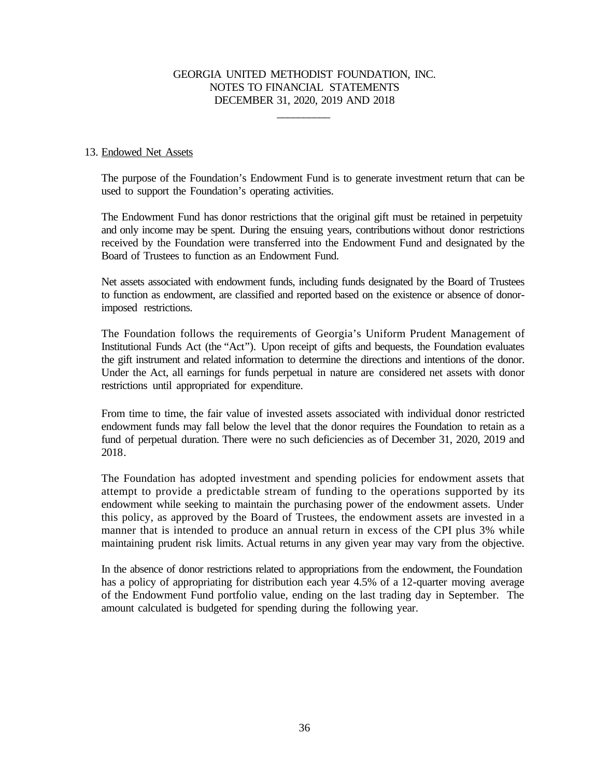\_\_\_\_\_\_\_\_\_\_

#### 13. Endowed Net Assets

The purpose of the Foundation's Endowment Fund is to generate investment return that can be used to support the Foundation's operating activities.

The Endowment Fund has donor restrictions that the original gift must be retained in perpetuity and only income may be spent. During the ensuing years, contributions without donor restrictions received by the Foundation were transferred into the Endowment Fund and designated by the Board of Trustees to function as an Endowment Fund.

Net assets associated with endowment funds, including funds designated by the Board of Trustees to function as endowment, are classified and reported based on the existence or absence of donorimposed restrictions.

The Foundation follows the requirements of Georgia's Uniform Prudent Management of Institutional Funds Act (the "Act"). Upon receipt of gifts and bequests, the Foundation evaluates the gift instrument and related information to determine the directions and intentions of the donor. Under the Act, all earnings for funds perpetual in nature are considered net assets with donor restrictions until appropriated for expenditure.

From time to time, the fair value of invested assets associated with individual donor restricted endowment funds may fall below the level that the donor requires the Foundation to retain as a fund of perpetual duration. There were no such deficiencies as of December 31, 2020, 2019 and 2018.

The Foundation has adopted investment and spending policies for endowment assets that attempt to provide a predictable stream of funding to the operations supported by its endowment while seeking to maintain the purchasing power of the endowment assets. Under this policy, as approved by the Board of Trustees, the endowment assets are invested in a manner that is intended to produce an annual return in excess of the CPI plus 3% while maintaining prudent risk limits. Actual returns in any given year may vary from the objective.

In the absence of donor restrictions related to appropriations from the endowment, the Foundation has a policy of appropriating for distribution each year 4.5% of a 12-quarter moving average of the Endowment Fund portfolio value, ending on the last trading day in September. The amount calculated is budgeted for spending during the following year.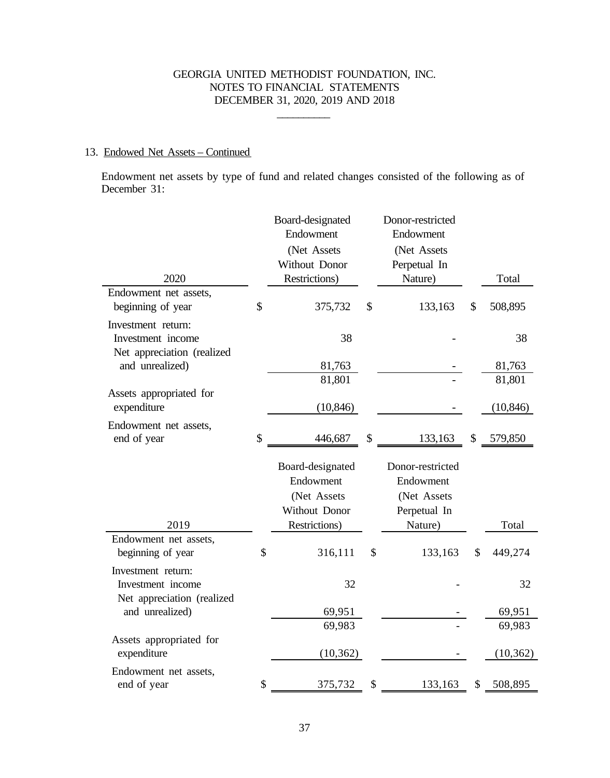$\mathcal{L}_\text{max}$ 

# 13. Endowed Net Assets – Continued

Endowment net assets by type of fund and related changes consisted of the following as of December 31:

|                                                                       | Board-designated<br>Endowment<br>(Net Assets<br>Without Donor | Donor-restricted<br>Endowment<br>(Net Assets<br>Perpetual In |                  |
|-----------------------------------------------------------------------|---------------------------------------------------------------|--------------------------------------------------------------|------------------|
| 2020                                                                  | Restrictions)                                                 | Nature)                                                      | Total            |
| Endowment net assets,<br>beginning of year                            | \$<br>375,732                                                 | \$<br>133,163                                                | \$<br>508,895    |
| Investment return:<br>Investment income<br>Net appreciation (realized | 38                                                            |                                                              | 38               |
| and unrealized)                                                       | 81,763                                                        |                                                              | 81,763           |
|                                                                       | 81,801                                                        |                                                              | 81,801           |
| Assets appropriated for<br>expenditure                                | (10, 846)                                                     |                                                              | (10, 846)        |
| Endowment net assets,<br>end of year                                  | \$<br>446,687                                                 | \$<br>133,163                                                | \$<br>579,850    |
|                                                                       | Board-designated<br>Endowment<br>(Net Assets                  | Donor-restricted<br>Endowment<br>(Net Assets                 |                  |
| 2019                                                                  | Without Donor<br>Restrictions)                                | Perpetual In<br>Nature)                                      | Total            |
| Endowment net assets,                                                 |                                                               |                                                              |                  |
| beginning of year                                                     | \$                                                            |                                                              |                  |
|                                                                       | 316,111                                                       | \$<br>133,163                                                | \$<br>449,274    |
| Investment return:<br>Investment income                               | 32                                                            |                                                              | 32               |
| Net appreciation (realized<br>and unrealized)                         |                                                               |                                                              |                  |
|                                                                       | 69,951<br>69,983                                              |                                                              | 69,951<br>69,983 |
| Assets appropriated for<br>expenditure                                | (10, 362)                                                     |                                                              | (10, 362)        |
| Endowment net assets,<br>end of year                                  | \$<br>375,732                                                 | \$<br>133,163                                                | \$<br>508,895    |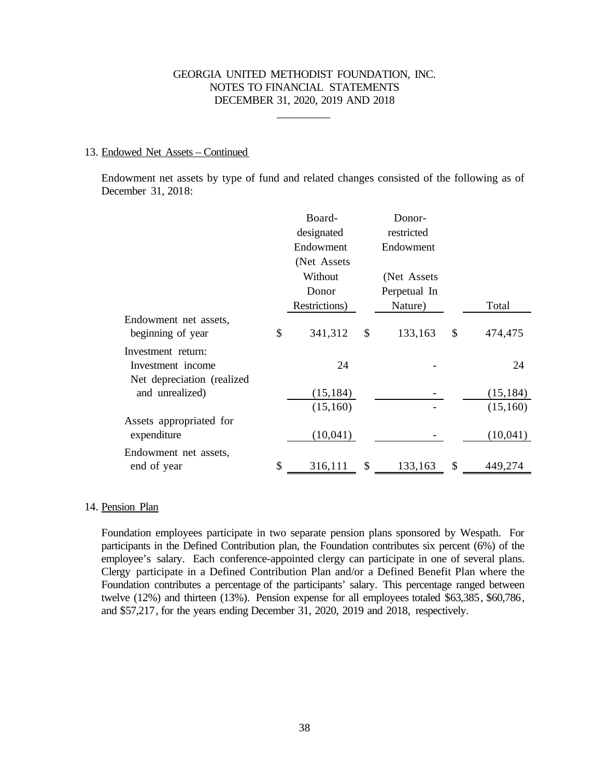\_\_\_\_\_\_\_\_\_\_

#### 13. Endowed Net Assets – Continued

Endowment net assets by type of fund and related changes consisted of the following as of December 31, 2018:

|                             | Board-        | Donor-        |               |
|-----------------------------|---------------|---------------|---------------|
|                             | designated    | restricted    |               |
|                             | Endowment     | Endowment     |               |
|                             | (Net Assets)  |               |               |
|                             | Without       | (Net Assets)  |               |
|                             | Donor         | Perpetual In  |               |
|                             | Restrictions) | Nature)       | Total         |
| Endowment net assets,       |               |               |               |
| beginning of year           | \$<br>341,312 | \$<br>133,163 | \$<br>474,475 |
| Investment return:          |               |               |               |
| Investment income           | 24            |               | 24            |
| Net depreciation (realized) |               |               |               |
| and unrealized)             | (15, 184)     |               | (15, 184)     |
|                             | (15,160)      |               | (15,160)      |
| Assets appropriated for     |               |               |               |
| expenditure                 | (10,041)      |               | (10,041)      |
| Endowment net assets,       |               |               |               |
| end of year                 | \$<br>316,111 | \$<br>133,163 | \$<br>449,274 |

#### 14. Pension Plan

Foundation employees participate in two separate pension plans sponsored by Wespath. For participants in the Defined Contribution plan, the Foundation contributes six percent (6%) of the employee's salary. Each conference-appointed clergy can participate in one of several plans. Clergy participate in a Defined Contribution Plan and/or a Defined Benefit Plan where the Foundation contributes a percentage of the participants' salary. This percentage ranged between twelve (12%) and thirteen (13%). Pension expense for all employees totaled \$63,385, \$60,786, and \$57,217, for the years ending December 31, 2020, 2019 and 2018, respectively.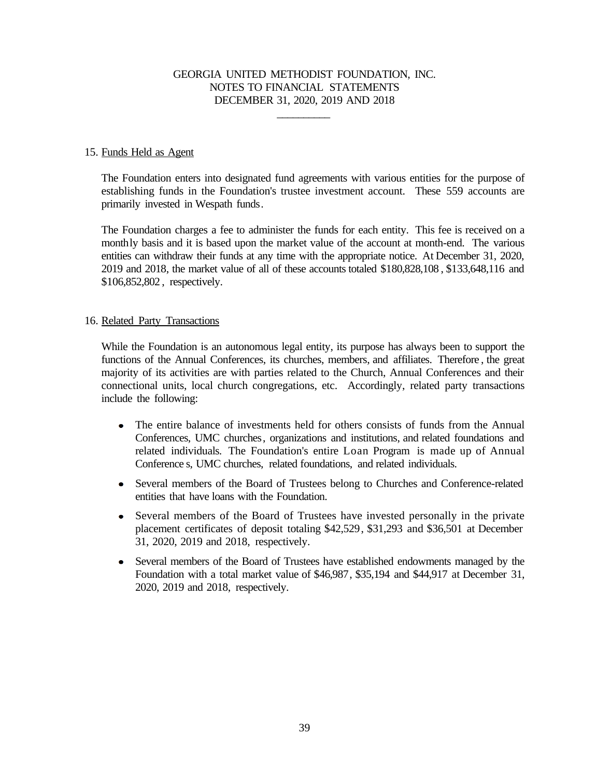\_\_\_\_\_\_\_\_\_\_

#### 15. Funds Held as Agent

The Foundation enters into designated fund agreements with various entities for the purpose of establishing funds in the Foundation's trustee investment account. These 559 accounts are primarily invested in Wespath funds.

The Foundation charges a fee to administer the funds for each entity. This fee is received on a monthly basis and it is based upon the market value of the account at month-end. The various entities can withdraw their funds at any time with the appropriate notice. At December 31, 2020, 2019 and 2018, the market value of all of these accounts totaled \$180,828,108 , \$133,648,116 and \$106,852,802 , respectively.

#### 16. Related Party Transactions

While the Foundation is an autonomous legal entity, its purpose has always been to support the functions of the Annual Conferences, its churches, members, and affiliates. Therefore , the great majority of its activities are with parties related to the Church, Annual Conferences and their connectional units, local church congregations, etc. Accordingly, related party transactions include the following:

- $\bullet$ The entire balance of investments held for others consists of funds from the Annual Conferences, UMC churches, organizations and institutions, and related foundations and related individuals. The Foundation's entire Loan Program is made up of Annual Conference s, UMC churches, related foundations, and related individuals.
- Several members of the Board of Trustees belong to Churches and Conference-related entities that have loans with the Foundation.
- Several members of the Board of Trustees have invested personally in the private placement certificates of deposit totaling \$42,529, \$31,293 and \$36,501 at December 31, 2020, 2019 and 2018, respectively.
- Several members of the Board of Trustees have established endowments managed by the Foundation with a total market value of \$46,987, \$35,194 and \$44,917 at December 31, 2020, 2019 and 2018, respectively.